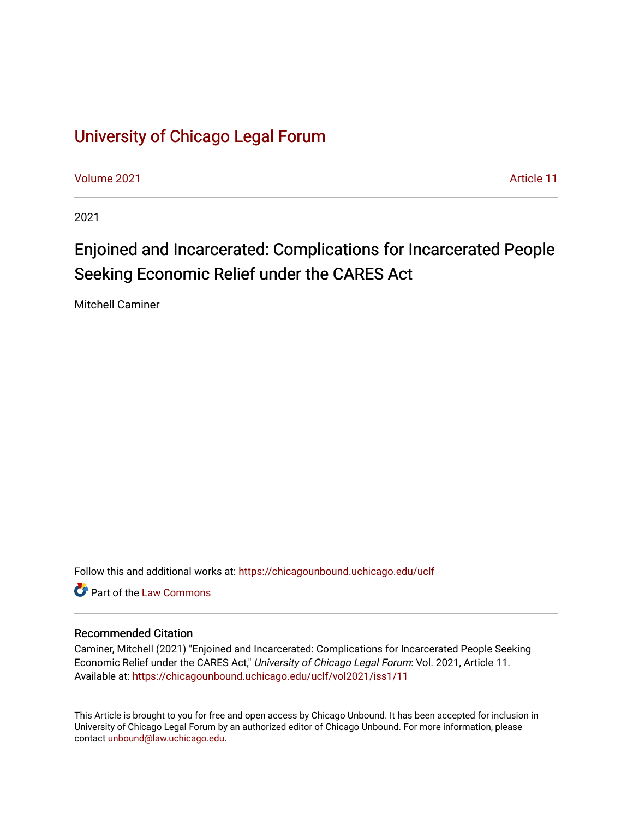# [University of Chicago Legal Forum](https://chicagounbound.uchicago.edu/uclf)

[Volume 2021](https://chicagounbound.uchicago.edu/uclf/vol2021) [Article 11](https://chicagounbound.uchicago.edu/uclf/vol2021/iss1/11) 

2021

# Enjoined and Incarcerated: Complications for Incarcerated People Seeking Economic Relief under the CARES Act

Mitchell Caminer

Follow this and additional works at: [https://chicagounbound.uchicago.edu/uclf](https://chicagounbound.uchicago.edu/uclf?utm_source=chicagounbound.uchicago.edu%2Fuclf%2Fvol2021%2Fiss1%2F11&utm_medium=PDF&utm_campaign=PDFCoverPages) 

**C** Part of the [Law Commons](https://network.bepress.com/hgg/discipline/578?utm_source=chicagounbound.uchicago.edu%2Fuclf%2Fvol2021%2Fiss1%2F11&utm_medium=PDF&utm_campaign=PDFCoverPages)

# Recommended Citation

Caminer, Mitchell (2021) "Enjoined and Incarcerated: Complications for Incarcerated People Seeking Economic Relief under the CARES Act," University of Chicago Legal Forum: Vol. 2021, Article 11. Available at: [https://chicagounbound.uchicago.edu/uclf/vol2021/iss1/11](https://chicagounbound.uchicago.edu/uclf/vol2021/iss1/11?utm_source=chicagounbound.uchicago.edu%2Fuclf%2Fvol2021%2Fiss1%2F11&utm_medium=PDF&utm_campaign=PDFCoverPages)

This Article is brought to you for free and open access by Chicago Unbound. It has been accepted for inclusion in University of Chicago Legal Forum by an authorized editor of Chicago Unbound. For more information, please contact [unbound@law.uchicago.edu](mailto:unbound@law.uchicago.edu).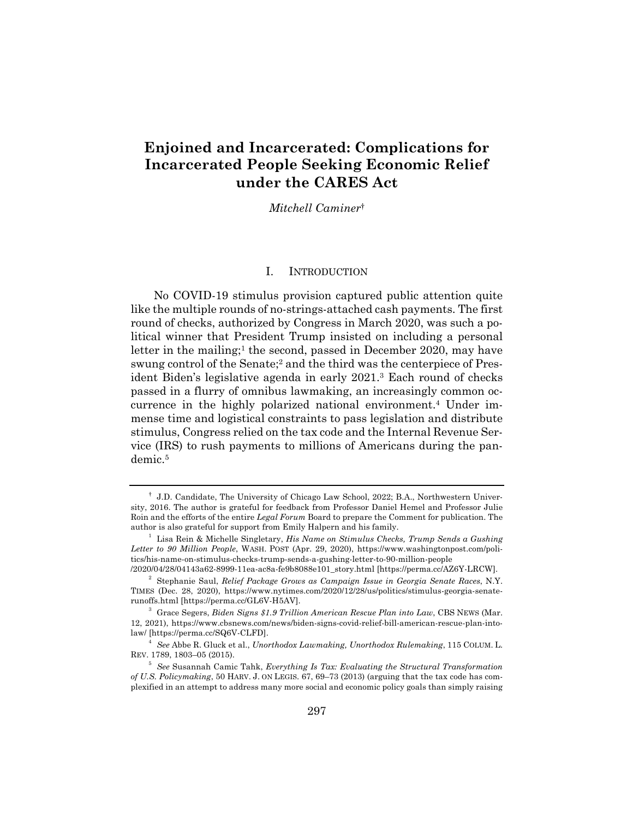# **Enjoined and Incarcerated: Complications for Incarcerated People Seeking Economic Relief under the CARES Act**

*Mitchell Caminer*†

#### I. INTRODUCTION

No COVID-19 stimulus provision captured public attention quite like the multiple rounds of no-strings-attached cash payments. The first round of checks, authorized by Congress in March 2020, was such a political winner that President Trump insisted on including a personal letter in the mailing;<sup>1</sup> the second, passed in December 2020, may have swung control of the Senate;<sup>2</sup> and the third was the centerpiece of President Biden's legislative agenda in early 2021.3 Each round of checks passed in a flurry of omnibus lawmaking, an increasingly common occurrence in the highly polarized national environment.4 Under immense time and logistical constraints to pass legislation and distribute stimulus, Congress relied on the tax code and the Internal Revenue Service (IRS) to rush payments to millions of Americans during the pandemic.5

<sup>†</sup> J.D. Candidate, The University of Chicago Law School, 2022; B.A., Northwestern University, 2016. The author is grateful for feedback from Professor Daniel Hemel and Professor Julie Roin and the efforts of the entire *Legal Forum* Board to prepare the Comment for publication. The author is also grateful for support from Emily Halpern and his family.

<sup>1</sup> Lisa Rein & Michelle Singletary, *His Name on Stimulus Checks, Trump Sends a Gushing Letter to 90 Million People*, WASH. POST (Apr. 29, 2020), https://www.washingtonpost.com/politics/his-name-on-stimulus-checks-trump-sends-a-gushing-letter-to-90-million-people

<sup>/2020/04/28/04143</sup>a62-8999-11ea-ac8a-fe9b8088e101\_story.html [https://perma.cc/AZ6Y-LRCW].

<sup>2</sup> Stephanie Saul, *Relief Package Grows as Campaign Issue in Georgia Senate Races*, N.Y. TIMES (Dec. 28, 2020), https://www.nytimes.com/2020/12/28/us/politics/stimulus-georgia-senaterunoffs.html [https://perma.cc/GL6V-H5AV].

<sup>3</sup> Grace Segers, *Biden Signs \$1.9 Trillion American Rescue Plan into Law*, CBS NEWS (Mar. 12, 2021), https://www.cbsnews.com/news/biden-signs-covid-relief-bill-american-rescue-plan-intolaw/ [https://perma.cc/SQ6V-CLFD].

<sup>4</sup> *See* Abbe R. Gluck et al., *Unorthodox Lawmaking, Unorthodox Rulemaking*, 115 COLUM. L. REV. 1789, 1803–05 (2015).

<sup>5</sup> *See* Susannah Camic Tahk, *Everything Is Tax: Evaluating the Structural Transformation of U.S. Policymaking*, 50 HARV. J. ON LEGIS. 67, 69–73 (2013) (arguing that the tax code has complexified in an attempt to address many more social and economic policy goals than simply raising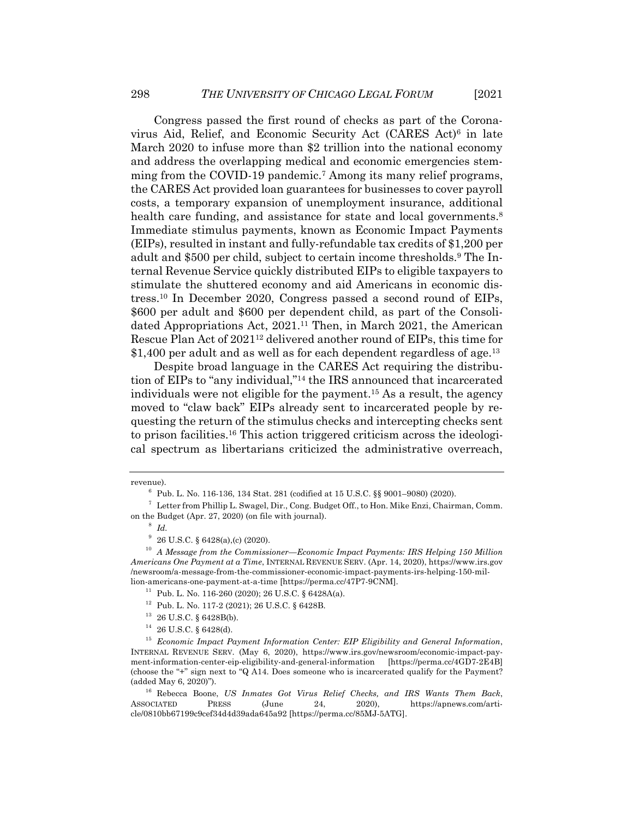Congress passed the first round of checks as part of the Coronavirus Aid, Relief, and Economic Security Act (CARES Act)6 in late March 2020 to infuse more than \$2 trillion into the national economy and address the overlapping medical and economic emergencies stemming from the COVID-19 pandemic.7 Among its many relief programs, the CARES Act provided loan guarantees for businesses to cover payroll costs, a temporary expansion of unemployment insurance, additional health care funding, and assistance for state and local governments.<sup>8</sup> Immediate stimulus payments, known as Economic Impact Payments (EIPs), resulted in instant and fully-refundable tax credits of \$1,200 per adult and \$500 per child, subject to certain income thresholds.9 The Internal Revenue Service quickly distributed EIPs to eligible taxpayers to stimulate the shuttered economy and aid Americans in economic distress.10 In December 2020, Congress passed a second round of EIPs, \$600 per adult and \$600 per dependent child, as part of the Consolidated Appropriations Act, 2021.11 Then, in March 2021, the American Rescue Plan Act of 202112 delivered another round of EIPs, this time for  $$1,400$  per adult and as well as for each dependent regardless of age.<sup>13</sup>

Despite broad language in the CARES Act requiring the distribution of EIPs to "any individual,"14 the IRS announced that incarcerated individuals were not eligible for the payment.15 As a result, the agency moved to "claw back" EIPs already sent to incarcerated people by requesting the return of the stimulus checks and intercepting checks sent to prison facilities.16 This action triggered criticism across the ideological spectrum as libertarians criticized the administrative overreach,

 $^{14}$  26 U.S.C. § 6428(d).

revenue).

 $6$  Pub. L. No. 116-136, 134 Stat. 281 (codified at 15 U.S.C. §§ 9001–9080) (2020).

 $7$  Letter from Phillip L. Swagel, Dir., Cong. Budget Off., to Hon. Mike Enzi, Chairman, Comm. on the Budget (Apr. 27, 2020) (on file with journal).

<sup>8</sup> *Id.*

 $9\,$  26 U.S.C. § 6428(a),(c) (2020).

<sup>10</sup> *A Message from the Commissioner—Economic Impact Payments: IRS Helping 150 Million Americans One Payment at a Time*, INTERNAL REVENUE SERV. (Apr. 14, 2020), https://www.irs.gov /newsroom/a-message-from-the-commissioner-economic-impact-payments-irs-helping-150-million-americans-one-payment-at-a-time [https://perma.cc/47P7-9CNM].

<sup>&</sup>lt;sup>11</sup> Pub. L. No. 116-260 (2020); 26 U.S.C. § 6428A(a).

<sup>12</sup> Pub. L. No. 117-2 (2021); 26 U.S.C. § 6428B.

 $13$  26 U.S.C. § 6428B(b).

<sup>15</sup> *Economic Impact Payment Information Center: EIP Eligibility and General Information*, INTERNAL REVENUE SERV. (May 6, 2020), https://www.irs.gov/newsroom/economic-impact-payment-information-center-eip-eligibility-and-general-information [https://perma.cc/4GD7-2E4B] (choose the "+" sign next to "Q A14. Does someone who is incarcerated qualify for the Payment? (added May 6, 2020)").

<sup>16</sup> Rebecca Boone, *US Inmates Got Virus Relief Checks, and IRS Wants Them Back*, ASSOCIATED PRESS (June 24, 2020), https://apnews.com/article/0810bb67199c9cef34d4d39ada645a92 [https://perma.cc/85MJ-5ATG].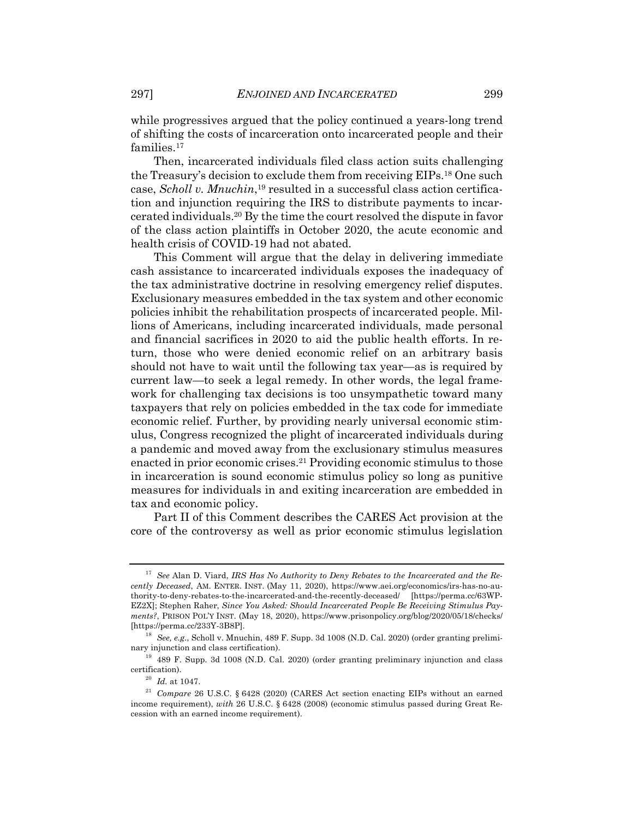while progressives argued that the policy continued a years-long trend of shifting the costs of incarceration onto incarcerated people and their families.<sup>17</sup>

Then, incarcerated individuals filed class action suits challenging the Treasury's decision to exclude them from receiving EIPs.18 One such case, *Scholl v. Mnuchin*, <sup>19</sup> resulted in a successful class action certification and injunction requiring the IRS to distribute payments to incarcerated individuals.20 By the time the court resolved the dispute in favor of the class action plaintiffs in October 2020, the acute economic and health crisis of COVID-19 had not abated.

This Comment will argue that the delay in delivering immediate cash assistance to incarcerated individuals exposes the inadequacy of the tax administrative doctrine in resolving emergency relief disputes. Exclusionary measures embedded in the tax system and other economic policies inhibit the rehabilitation prospects of incarcerated people. Millions of Americans, including incarcerated individuals, made personal and financial sacrifices in 2020 to aid the public health efforts. In return, those who were denied economic relief on an arbitrary basis should not have to wait until the following tax year—as is required by current law—to seek a legal remedy. In other words, the legal framework for challenging tax decisions is too unsympathetic toward many taxpayers that rely on policies embedded in the tax code for immediate economic relief. Further, by providing nearly universal economic stimulus, Congress recognized the plight of incarcerated individuals during a pandemic and moved away from the exclusionary stimulus measures enacted in prior economic crises.21 Providing economic stimulus to those in incarceration is sound economic stimulus policy so long as punitive measures for individuals in and exiting incarceration are embedded in tax and economic policy.

Part II of this Comment describes the CARES Act provision at the core of the controversy as well as prior economic stimulus legislation

<sup>17</sup> *See* Alan D. Viard, *IRS Has No Authority to Deny Rebates to the Incarcerated and the Recently Deceased*, AM. ENTER. INST. (May 11, 2020), https://www.aei.org/economics/irs-has-no-authority-to-deny-rebates-to-the-incarcerated-and-the-recently-deceased/ [https://perma.cc/63WP-EZ2X]; Stephen Raher, *Since You Asked: Should Incarcerated People Be Receiving Stimulus Payments?*, PRISON POL'Y INST. (May 18, 2020), https://www.prisonpolicy.org/blog/2020/05/18/checks/ [https://perma.cc/233Y-3B8P].

<sup>18</sup> *See, e.g.*, Scholl v. Mnuchin, 489 F. Supp. 3d 1008 (N.D. Cal. 2020) (order granting preliminary injunction and class certification).

<sup>19</sup> 489 F. Supp. 3d 1008 (N.D. Cal. 2020) (order granting preliminary injunction and class certification).

 $^{\rm 20}$   $\emph{Id.}$  at 1047.

<sup>21</sup> *Compare* 26 U.S.C. § 6428 (2020) (CARES Act section enacting EIPs without an earned income requirement), *with* 26 U.S.C. § 6428 (2008) (economic stimulus passed during Great Recession with an earned income requirement).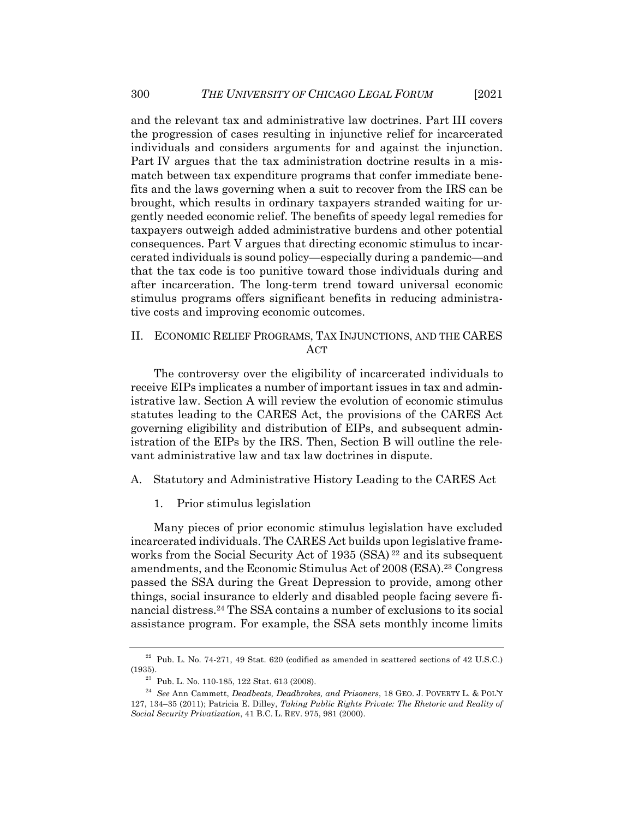and the relevant tax and administrative law doctrines. Part III covers the progression of cases resulting in injunctive relief for incarcerated individuals and considers arguments for and against the injunction. Part IV argues that the tax administration doctrine results in a mismatch between tax expenditure programs that confer immediate benefits and the laws governing when a suit to recover from the IRS can be brought, which results in ordinary taxpayers stranded waiting for urgently needed economic relief. The benefits of speedy legal remedies for taxpayers outweigh added administrative burdens and other potential consequences. Part V argues that directing economic stimulus to incarcerated individuals is sound policy—especially during a pandemic—and that the tax code is too punitive toward those individuals during and after incarceration. The long-term trend toward universal economic stimulus programs offers significant benefits in reducing administrative costs and improving economic outcomes.

# II. ECONOMIC RELIEF PROGRAMS, TAX INJUNCTIONS, AND THE CARES ACT

The controversy over the eligibility of incarcerated individuals to receive EIPs implicates a number of important issues in tax and administrative law. Section A will review the evolution of economic stimulus statutes leading to the CARES Act, the provisions of the CARES Act governing eligibility and distribution of EIPs, and subsequent administration of the EIPs by the IRS. Then, Section B will outline the relevant administrative law and tax law doctrines in dispute.

#### A. Statutory and Administrative History Leading to the CARES Act

1. Prior stimulus legislation

Many pieces of prior economic stimulus legislation have excluded incarcerated individuals. The CARES Act builds upon legislative frameworks from the Social Security Act of 1935 (SSA)<sup>22</sup> and its subsequent amendments, and the Economic Stimulus Act of 2008 (ESA).23 Congress passed the SSA during the Great Depression to provide, among other things, social insurance to elderly and disabled people facing severe financial distress.24 The SSA contains a number of exclusions to its social assistance program. For example, the SSA sets monthly income limits

 $22$  Pub. L. No. 74-271, 49 Stat. 620 (codified as amended in scattered sections of 42 U.S.C.) (1935).

<sup>23</sup> Pub. L. No. 110-185, 122 Stat. 613 (2008).

<sup>24</sup> *See* Ann Cammett, *Deadbeats, Deadbrokes, and Prisoners*, 18 GEO. J. POVERTY L. & POL'Y 127, 134–35 (2011); Patricia E. Dilley, *Taking Public Rights Private: The Rhetoric and Reality of Social Security Privatization*, 41 B.C. L. REV. 975, 981 (2000).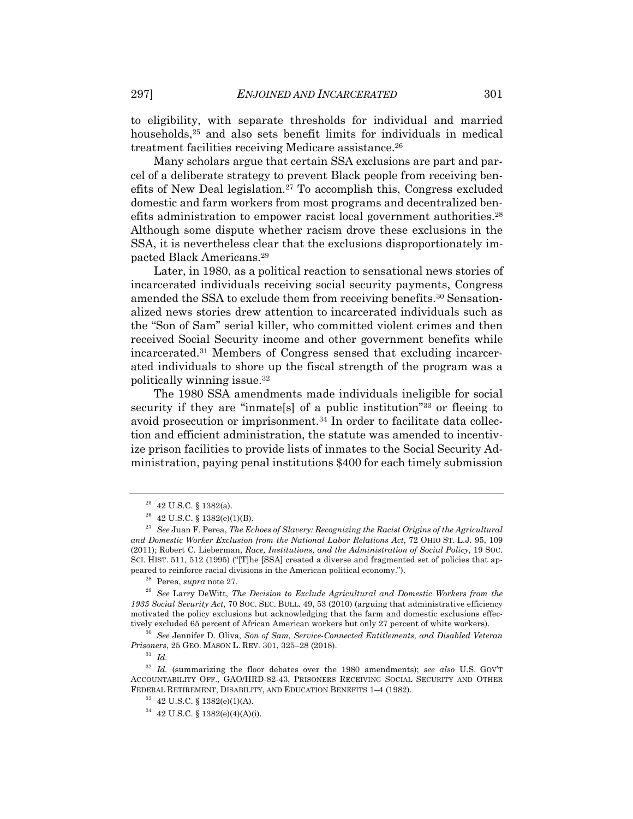to eligibility, with separate thresholds for individual and married households,<sup>25</sup> and also sets benefit limits for individuals in medical treatment facilities receiving Medicare assistance.<sup>26</sup>

Many scholars argue that certain SSA exclusions are part and parcel of a deliberate strategy to prevent Black people from receiving benefits of New Deal legislation.27 To accomplish this, Congress excluded domestic and farm workers from most programs and decentralized benefits administration to empower racist local government authorities.<sup>28</sup> Although some dispute whether racism drove these exclusions in the SSA, it is nevertheless clear that the exclusions disproportionately impacted Black Americans.29

Later, in 1980, as a political reaction to sensational news stories of incarcerated individuals receiving social security payments, Congress amended the SSA to exclude them from receiving benefits.30 Sensationalized news stories drew attention to incarcerated individuals such as the "Son of Sam" serial killer, who committed violent crimes and then received Social Security income and other government benefits while incarcerated.31 Members of Congress sensed that excluding incarcerated individuals to shore up the fiscal strength of the program was a politically winning issue.32

The 1980 SSA amendments made individuals ineligible for social security if they are "inmate<sup>[s]</sup> of a public institution"<sup>33</sup> or fleeing to avoid prosecution or imprisonment.34 In order to facilitate data collection and efficient administration, the statute was amended to incentivize prison facilities to provide lists of inmates to the Social Security Administration, paying penal institutions \$400 for each timely submission

<sup>30</sup> *See* Jennifer D. Oliva, *Son of Sam, Service-Connected Entitlements, and Disabled Veteran Prisoners*, 25 GEO. MASON L. REV. 301, 325–28 (2018).

<sup>31</sup> *Id.*

 $25$  42 U.S.C. § 1382(a).

 $26$  42 U.S.C. § 1382(e)(1)(B).

<sup>27</sup> *See* Juan F. Perea, *The Echoes of Slavery: Recognizing the Racist Origins of the Agricultural and Domestic Worker Exclusion from the National Labor Relations Act*, 72 OHIO ST. L.J. 95, 109 (2011); Robert C. Lieberman, *Race, Institutions, and the Administration of Social Policy*, 19 SOC. SCI. HIST. 511, 512 (1995) ("[T]he [SSA] created a diverse and fragmented set of policies that appeared to reinforce racial divisions in the American political economy.").

<sup>28</sup> Perea, *supra* note 27.

<sup>29</sup> *See* Larry DeWitt, *The Decision to Exclude Agricultural and Domestic Workers from the 1935 Social Security Act*, 70 SOC. SEC. BULL. 49, 53 (2010) (arguing that administrative efficiency motivated the policy exclusions but acknowledging that the farm and domestic exclusions effectively excluded 65 percent of African American workers but only 27 percent of white workers).

<sup>32</sup> *Id.* (summarizing the floor debates over the 1980 amendments); *see also* U.S. GOV'T ACCOUNTABILITY OFF., GAO/HRD-82-43, PRISONERS RECEIVING SOCIAL SECURITY AND OTHER FEDERAL RETIREMENT, DISABILITY, AND EDUCATION BENEFITS 1–4 (1982).

 $33$  42 U.S.C. § 1382(e)(1)(A).

<sup>34</sup> 42 U.S.C. § 1382(e)(4)(A)(i).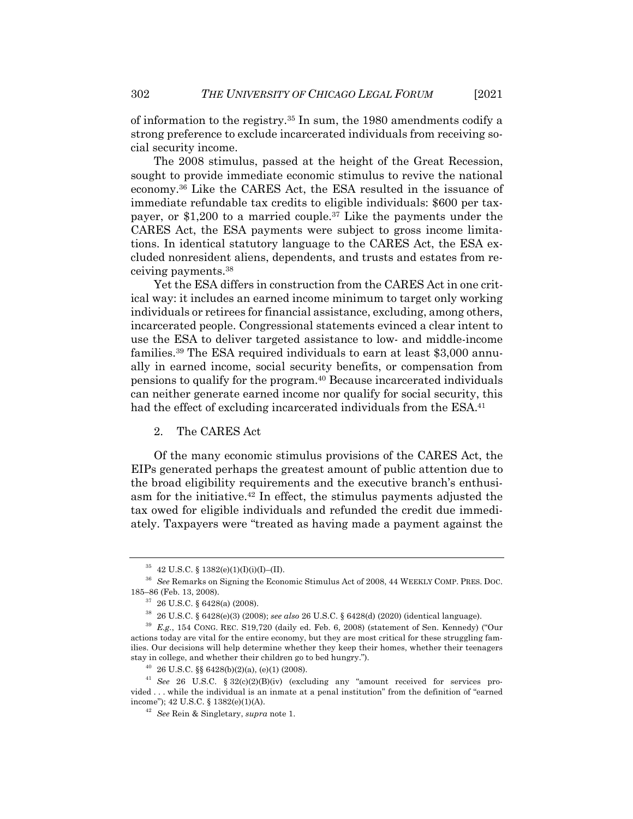of information to the registry.35 In sum, the 1980 amendments codify a strong preference to exclude incarcerated individuals from receiving social security income.

The 2008 stimulus, passed at the height of the Great Recession, sought to provide immediate economic stimulus to revive the national economy.36 Like the CARES Act, the ESA resulted in the issuance of immediate refundable tax credits to eligible individuals: \$600 per taxpayer, or \$1,200 to a married couple.37 Like the payments under the CARES Act, the ESA payments were subject to gross income limitations. In identical statutory language to the CARES Act, the ESA excluded nonresident aliens, dependents, and trusts and estates from receiving payments.38

Yet the ESA differs in construction from the CARES Act in one critical way: it includes an earned income minimum to target only working individuals or retirees for financial assistance, excluding, among others, incarcerated people. Congressional statements evinced a clear intent to use the ESA to deliver targeted assistance to low- and middle-income families.39 The ESA required individuals to earn at least \$3,000 annually in earned income, social security benefits, or compensation from pensions to qualify for the program.40 Because incarcerated individuals can neither generate earned income nor qualify for social security, this had the effect of excluding incarcerated individuals from the ESA.<sup>41</sup>

2. The CARES Act

Of the many economic stimulus provisions of the CARES Act, the EIPs generated perhaps the greatest amount of public attention due to the broad eligibility requirements and the executive branch's enthusiasm for the initiative.42 In effect, the stimulus payments adjusted the tax owed for eligible individuals and refunded the credit due immediately. Taxpayers were "treated as having made a payment against the

 $35$  42 U.S.C. § 1382(e)(1)(I)(i)(I)–(II).

<sup>36</sup> *See* Remarks on Signing the Economic Stimulus Act of 2008, 44 WEEKLY COMP. PRES. DOC. 185–86 (Feb. 13, 2008).

<sup>37</sup> 26 U.S.C. § 6428(a) (2008).

<sup>38</sup> 26 U.S.C. § 6428(e)(3) (2008); *see also* 26 U.S.C. § 6428(d) (2020) (identical language).

<sup>39</sup> *E.g.*, 154 CONG. REC. S19,720 (daily ed. Feb. 6, 2008) (statement of Sen. Kennedy) ("Our actions today are vital for the entire economy, but they are most critical for these struggling families. Our decisions will help determine whether they keep their homes, whether their teenagers stay in college, and whether their children go to bed hungry.").

 $^{40}$  26 U.S.C. §§ 6428(b)(2)(a), (e)(1) (2008).

<sup>41</sup> *See* 26 U.S.C. § 32(c)(2)(B)(iv) (excluding any "amount received for services provided . . . while the individual is an inmate at a penal institution" from the definition of "earned income"); 42 U.S.C. § 1382(e)(1)(A).

<sup>42</sup> *See* Rein & Singletary, *supra* note 1.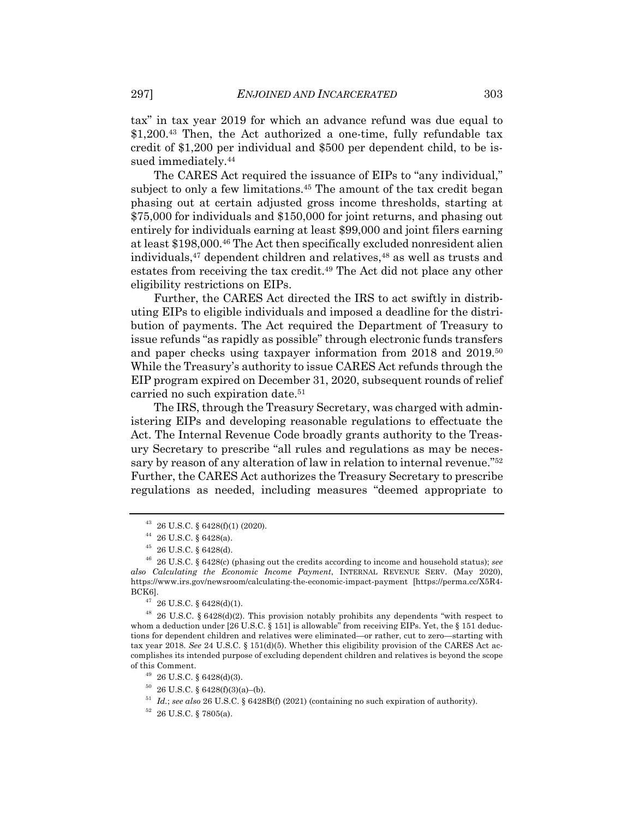tax" in tax year 2019 for which an advance refund was due equal to  $$1,200<sup>43</sup>$  Then, the Act authorized a one-time, fully refundable tax credit of \$1,200 per individual and \$500 per dependent child, to be issued immediately.44

The CARES Act required the issuance of EIPs to "any individual," subject to only a few limitations.<sup>45</sup> The amount of the tax credit began phasing out at certain adjusted gross income thresholds, starting at \$75,000 for individuals and \$150,000 for joint returns, and phasing out entirely for individuals earning at least \$99,000 and joint filers earning at least \$198,000.46 The Act then specifically excluded nonresident alien individuals,47 dependent children and relatives,48 as well as trusts and estates from receiving the tax credit.<sup>49</sup> The Act did not place any other eligibility restrictions on EIPs.

Further, the CARES Act directed the IRS to act swiftly in distributing EIPs to eligible individuals and imposed a deadline for the distribution of payments. The Act required the Department of Treasury to issue refunds "as rapidly as possible" through electronic funds transfers and paper checks using taxpayer information from 2018 and 2019.50 While the Treasury's authority to issue CARES Act refunds through the EIP program expired on December 31, 2020, subsequent rounds of relief carried no such expiration date.<sup>51</sup>

The IRS, through the Treasury Secretary, was charged with administering EIPs and developing reasonable regulations to effectuate the Act. The Internal Revenue Code broadly grants authority to the Treasury Secretary to prescribe "all rules and regulations as may be necessary by reason of any alteration of law in relation to internal revenue."52 Further, the CARES Act authorizes the Treasury Secretary to prescribe regulations as needed, including measures "deemed appropriate to

 $43$  26 U.S.C. § 6428(f)(1) (2020).

 $44$  26 U.S.C. § 6428(a).

 $^{45}$  26 U.S.C.  $\S$  6428(d).

<sup>46</sup> 26 U.S.C. § 6428(c) (phasing out the credits according to income and household status); *see also Calculating the Economic Income Payment*, INTERNAL REVENUE SERV. (May 2020), https://www.irs.gov/newsroom/calculating-the-economic-impact-payment [https://perma.cc/X5R4- BCK6].

 $^{47}$  26 U.S.C. § 6428(d)(1).

 $^{48}$  26 U.S.C. § 6428(d)(2). This provision notably prohibits any dependents "with respect to whom a deduction under [26 U.S.C. § 151] is allowable" from receiving EIPs. Yet, the § 151 deductions for dependent children and relatives were eliminated—or rather, cut to zero—starting with tax year 2018. *See* 24 U.S.C. § 151(d)(5). Whether this eligibility provision of the CARES Act accomplishes its intended purpose of excluding dependent children and relatives is beyond the scope of this Comment.

<sup>49</sup> 26 U.S.C. § 6428(d)(3).

 $50$  26 U.S.C. § 6428(f)(3)(a)–(b).

<sup>51</sup> *Id.*; *see also* 26 U.S.C. § 6428B(f) (2021) (containing no such expiration of authority).

 $^{52}$  26 U.S.C. § 7805(a).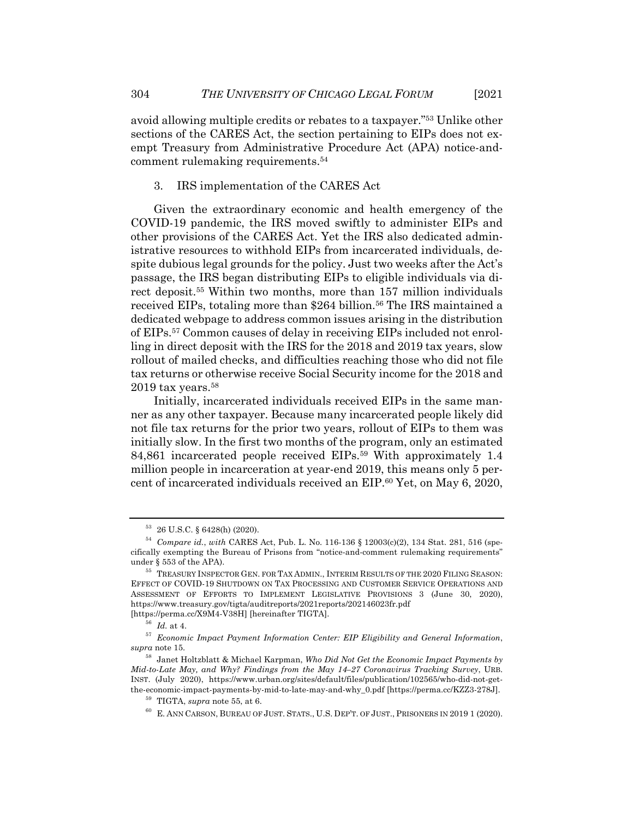avoid allowing multiple credits or rebates to a taxpayer."53 Unlike other sections of the CARES Act, the section pertaining to EIPs does not exempt Treasury from Administrative Procedure Act (APA) notice-andcomment rulemaking requirements.54

#### 3. IRS implementation of the CARES Act

Given the extraordinary economic and health emergency of the COVID-19 pandemic, the IRS moved swiftly to administer EIPs and other provisions of the CARES Act. Yet the IRS also dedicated administrative resources to withhold EIPs from incarcerated individuals, despite dubious legal grounds for the policy. Just two weeks after the Act's passage, the IRS began distributing EIPs to eligible individuals via direct deposit.55 Within two months, more than 157 million individuals received EIPs, totaling more than \$264 billion.<sup>56</sup> The IRS maintained a dedicated webpage to address common issues arising in the distribution of EIPs.57 Common causes of delay in receiving EIPs included not enrolling in direct deposit with the IRS for the 2018 and 2019 tax years, slow rollout of mailed checks, and difficulties reaching those who did not file tax returns or otherwise receive Social Security income for the 2018 and  $2019$  tax years.<sup>58</sup>

Initially, incarcerated individuals received EIPs in the same manner as any other taxpayer. Because many incarcerated people likely did not file tax returns for the prior two years, rollout of EIPs to them was initially slow. In the first two months of the program, only an estimated 84,861 incarcerated people received EIPs.59 With approximately 1.4 million people in incarceration at year-end 2019, this means only 5 percent of incarcerated individuals received an EIP.60 Yet, on May 6, 2020,

<sup>53</sup> 26 U.S.C. § 6428(h) (2020).

<sup>54</sup> *Compare id.*, *with* CARES Act, Pub. L. No. 116-136 § 12003(c)(2), 134 Stat. 281, 516 (specifically exempting the Bureau of Prisons from "notice-and-comment rulemaking requirements" under § 553 of the APA).

 $^{55}\;$  TREASURY INSPECTOR GEN. FOR TAX ADMIN., INTERIM RESULTS OF THE 2020 FILING SEASON: EFFECT OF COVID-19 SHUTDOWN ON TAX PROCESSING AND CUSTOMER SERVICE OPERATIONS AND ASSESSMENT OF EFFORTS TO IMPLEMENT LEGISLATIVE PROVISIONS 3 (June 30, 2020), https://www.treasury.gov/tigta/auditreports/2021reports/202146023fr.pdf [https://perma.cc/X9M4-V38H] [hereinafter TIGTA].

<sup>56</sup> *Id.* at 4.

<sup>57</sup> *Economic Impact Payment Information Center: EIP Eligibility and General Information*, *supra* note 15.

<sup>58</sup> Janet Holtzblatt & Michael Karpman, *Who Did Not Get the Economic Impact Payments by Mid-to-Late May, and Why? Findings from the May 14–27 Coronavirus Tracking Survey*, URB. INST. (July 2020), https://www.urban.org/sites/default/files/publication/102565/who-did-not-getthe-economic-impact-payments-by-mid-to-late-may-and-why\_0.pdf [https://perma.cc/KZZ3-278J].

<sup>59</sup> TIGTA, *supra* note 55, at 6.

 $^{60}\;$  E. ANN CARSON, BUREAU OF JUST. STATS., U.S. DEP'T. OF JUST., PRISONERS IN 2019 1 (2020).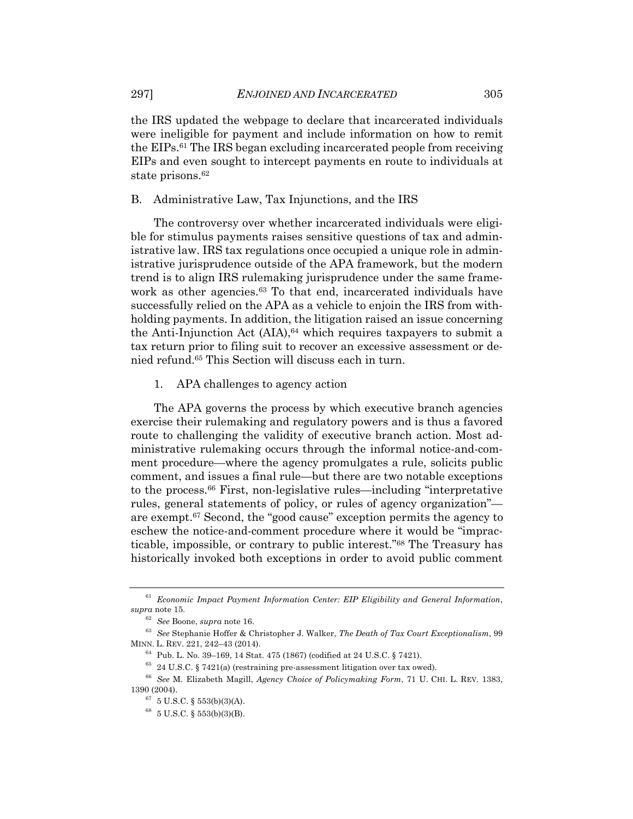the IRS updated the webpage to declare that incarcerated individuals were ineligible for payment and include information on how to remit the EIPs.61 The IRS began excluding incarcerated people from receiving EIPs and even sought to intercept payments en route to individuals at state prisons.<sup>62</sup>

#### B. Administrative Law, Tax Injunctions, and the IRS

The controversy over whether incarcerated individuals were eligible for stimulus payments raises sensitive questions of tax and administrative law. IRS tax regulations once occupied a unique role in administrative jurisprudence outside of the APA framework, but the modern trend is to align IRS rulemaking jurisprudence under the same framework as other agencies.<sup>63</sup> To that end, incarcerated individuals have successfully relied on the APA as a vehicle to enjoin the IRS from withholding payments. In addition, the litigation raised an issue concerning the Anti-Injunction Act  $(AIA)$ ,<sup>64</sup> which requires taxpayers to submit a tax return prior to filing suit to recover an excessive assessment or denied refund.65 This Section will discuss each in turn.

1. APA challenges to agency action

The APA governs the process by which executive branch agencies exercise their rulemaking and regulatory powers and is thus a favored route to challenging the validity of executive branch action. Most administrative rulemaking occurs through the informal notice-and-comment procedure—where the agency promulgates a rule, solicits public comment, and issues a final rule—but there are two notable exceptions to the process.66 First, non-legislative rules—including "interpretative rules, general statements of policy, or rules of agency organization" are exempt.67 Second, the "good cause" exception permits the agency to eschew the notice-and-comment procedure where it would be "impracticable, impossible, or contrary to public interest."68 The Treasury has historically invoked both exceptions in order to avoid public comment

<sup>61</sup> *Economic Impact Payment Information Center: EIP Eligibility and General Information*, *supra* note 15.

<sup>62</sup> *See* Boone, *supra* note 16.

<sup>63</sup> *See* Stephanie Hoffer & Christopher J. Walker, *The Death of Tax Court Exceptionalism*, 99 MINN. L. REV. 221, 242–43 (2014).

 $64$  Pub. L. No. 39–169, 14 Stat. 475 (1867) (codified at 24 U.S.C. § 7421).

 $65$  24 U.S.C. § 7421(a) (restraining pre-assessment litigation over tax owed).

<sup>66</sup> *See* M. Elizabeth Magill, *Agency Choice of Policymaking Form*, 71 U. CHI. L. REV. 1383, 1390 (2004).

 $67$  5 U.S.C. § 553(b)(3)(A).

 $68$  5 U.S.C. § 553(b)(3)(B).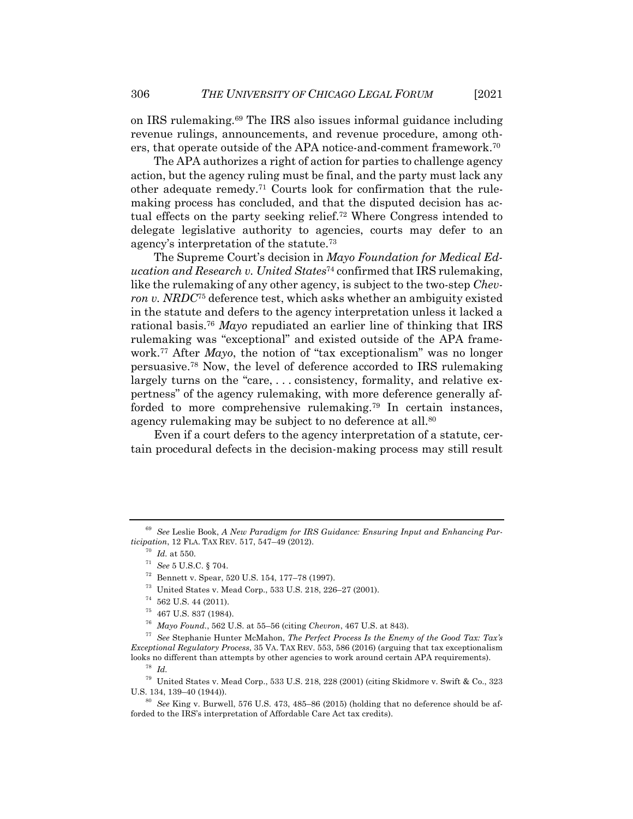on IRS rulemaking.69 The IRS also issues informal guidance including revenue rulings, announcements, and revenue procedure, among others, that operate outside of the APA notice-and-comment framework.70

The APA authorizes a right of action for parties to challenge agency action, but the agency ruling must be final, and the party must lack any other adequate remedy.71 Courts look for confirmation that the rulemaking process has concluded, and that the disputed decision has actual effects on the party seeking relief.72 Where Congress intended to delegate legislative authority to agencies, courts may defer to an agency's interpretation of the statute.73

The Supreme Court's decision in *Mayo Foundation for Medical Education and Research v. United States*<sup>74</sup> confirmed that IRS rulemaking, like the rulemaking of any other agency, is subject to the two-step *Chevron v. NRDC*<sup>75</sup> deference test, which asks whether an ambiguity existed in the statute and defers to the agency interpretation unless it lacked a rational basis.76 *Mayo* repudiated an earlier line of thinking that IRS rulemaking was "exceptional" and existed outside of the APA framework.77 After *Mayo*, the notion of "tax exceptionalism" was no longer persuasive.78 Now, the level of deference accorded to IRS rulemaking largely turns on the "care, . . . consistency, formality, and relative expertness" of the agency rulemaking, with more deference generally afforded to more comprehensive rulemaking.<sup>79</sup> In certain instances, agency rulemaking may be subject to no deference at all.<sup>80</sup>

Even if a court defers to the agency interpretation of a statute, certain procedural defects in the decision-making process may still result

<sup>70</sup> *Id.* at 550.

<sup>76</sup> *Mayo Found.*, 562 U.S. at 55–56 (citing *Chevron*, 467 U.S. at 843).

<sup>77</sup> *See* Stephanie Hunter McMahon, *The Perfect Process Is the Enemy of the Good Tax: Tax's Exceptional Regulatory Process*, 35 VA. TAX REV. 553, 586 (2016) (arguing that tax exceptionalism looks no different than attempts by other agencies to work around certain APA requirements). <sup>78</sup> *Id.*

 $^{79}\,$  United States v. Mead Corp., 533 U.S. 218, 228 (2001) (citing Skidmore v. Swift & Co., 323 U.S. 134, 139–40 (1944)).

<sup>80</sup> *See* King v. Burwell, 576 U.S. 473, 485–86 (2015) (holding that no deference should be afforded to the IRS's interpretation of Affordable Care Act tax credits).

<sup>69</sup> *See* Leslie Book, *A New Paradigm for IRS Guidance: Ensuring Input and Enhancing Participation*, 12 FLA. TAX REV. 517, 547–49 (2012).

<sup>71</sup> *See* 5 U.S.C. § 704.

<sup>72</sup> Bennett v. Spear, 520 U.S. 154, 177–78 (1997).

<sup>73</sup> United States v. Mead Corp., 533 U.S. 218, 226–27 (2001).

 $^{74}\,$  562 U.S. 44 (2011).

 $^{75}\,$  467 U.S. 837 (1984).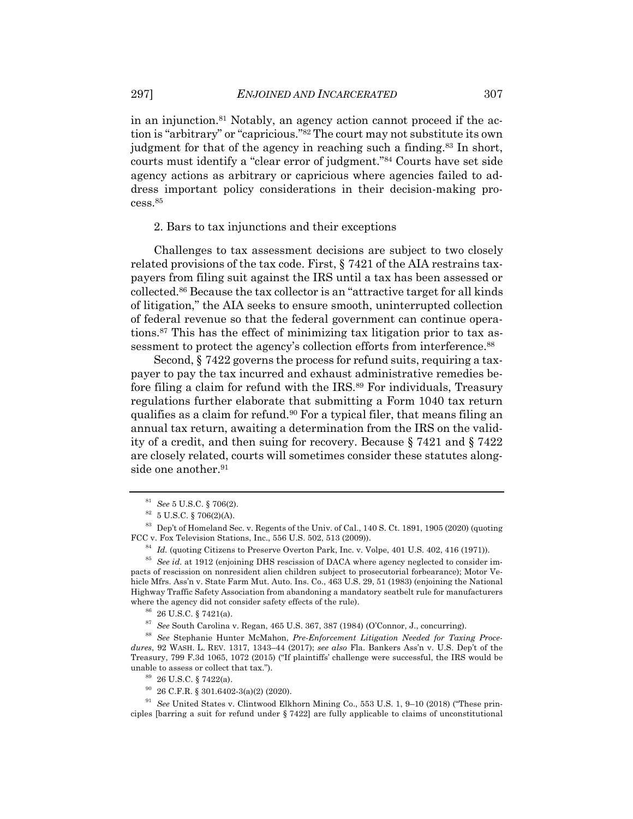in an injunction.81 Notably, an agency action cannot proceed if the action is "arbitrary" or "capricious."82 The court may not substitute its own judgment for that of the agency in reaching such a finding.<sup>83</sup> In short, courts must identify a "clear error of judgment."84 Courts have set side agency actions as arbitrary or capricious where agencies failed to address important policy considerations in their decision-making process.85

#### 2. Bars to tax injunctions and their exceptions

Challenges to tax assessment decisions are subject to two closely related provisions of the tax code. First, § 7421 of the AIA restrains taxpayers from filing suit against the IRS until a tax has been assessed or collected.86 Because the tax collector is an "attractive target for all kinds of litigation," the AIA seeks to ensure smooth, uninterrupted collection of federal revenue so that the federal government can continue operations.87 This has the effect of minimizing tax litigation prior to tax assessment to protect the agency's collection efforts from interference.<sup>88</sup>

Second, § 7422 governs the process for refund suits, requiring a taxpayer to pay the tax incurred and exhaust administrative remedies before filing a claim for refund with the IRS.<sup>89</sup> For individuals, Treasury regulations further elaborate that submitting a Form 1040 tax return qualifies as a claim for refund.90 For a typical filer, that means filing an annual tax return, awaiting a determination from the IRS on the validity of a credit, and then suing for recovery. Because § 7421 and § 7422 are closely related, courts will sometimes consider these statutes alongside one another.<sup>91</sup>

<sup>90</sup> 26 C.F.R. § 301.6402-3(a)(2) (2020).

<sup>81</sup> *See* 5 U.S.C. § 706(2).

 $82$  5 U.S.C. § 706(2)(A).

 $83$  Dep't of Homeland Sec. v. Regents of the Univ. of Cal., 140 S. Ct. 1891, 1905 (2020) (quoting FCC v. Fox Television Stations, Inc., 556 U.S. 502, 513 (2009)).

<sup>84</sup> *Id.* (quoting Citizens to Preserve Overton Park, Inc. v. Volpe, 401 U.S. 402, 416 (1971)).

<sup>85</sup> *See id.* at 1912 (enjoining DHS rescission of DACA where agency neglected to consider impacts of rescission on nonresident alien children subject to prosecutorial forbearance); Motor Vehicle Mfrs. Ass'n v. State Farm Mut. Auto. Ins. Co., 463 U.S. 29, 51 (1983) (enjoining the National Highway Traffic Safety Association from abandoning a mandatory seatbelt rule for manufacturers where the agency did not consider safety effects of the rule).

<sup>86</sup> 26 U.S.C. § 7421(a).

<sup>87</sup> *See* South Carolina v. Regan, 465 U.S. 367, 387 (1984) (O'Connor, J., concurring).

<sup>88</sup> *See* Stephanie Hunter McMahon, *Pre-Enforcement Litigation Needed for Taxing Procedures*, 92 WASH. L. REV. 1317, 1343–44 (2017); *see also* Fla. Bankers Ass'n v. U.S. Dep't of the Treasury, 799 F.3d 1065, 1072 (2015) ("If plaintiffs' challenge were successful, the IRS would be unable to assess or collect that tax.").

 $^{89}$  26 U.S.C.  $\S$  7422(a).

<sup>91</sup> *See* United States v. Clintwood Elkhorn Mining Co., 553 U.S. 1, 9–10 (2018) ("These principles [barring a suit for refund under  $\S 7422$ ] are fully applicable to claims of unconstitutional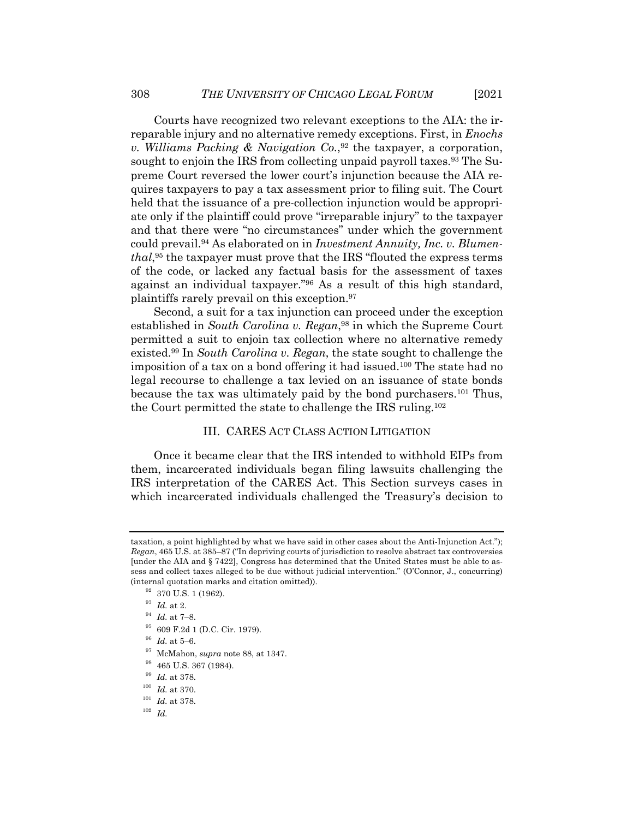Courts have recognized two relevant exceptions to the AIA: the irreparable injury and no alternative remedy exceptions. First, in *Enochs v. Williams Packing & Navigation Co.*, <sup>92</sup> the taxpayer, a corporation, sought to enjoin the IRS from collecting unpaid payroll taxes.93 The Supreme Court reversed the lower court's injunction because the AIA requires taxpayers to pay a tax assessment prior to filing suit. The Court held that the issuance of a pre-collection injunction would be appropriate only if the plaintiff could prove "irreparable injury" to the taxpayer and that there were "no circumstances" under which the government could prevail.94 As elaborated on in *Investment Annuity, Inc. v. Blumenthal*, <sup>95</sup> the taxpayer must prove that the IRS "flouted the express terms of the code, or lacked any factual basis for the assessment of taxes against an individual taxpayer."96 As a result of this high standard, plaintiffs rarely prevail on this exception.97

Second, a suit for a tax injunction can proceed under the exception established in *South Carolina v. Regan*, <sup>98</sup> in which the Supreme Court permitted a suit to enjoin tax collection where no alternative remedy existed.99 In *South Carolina v. Regan*, the state sought to challenge the imposition of a tax on a bond offering it had issued.100 The state had no legal recourse to challenge a tax levied on an issuance of state bonds because the tax was ultimately paid by the bond purchasers.101 Thus, the Court permitted the state to challenge the IRS ruling.102

## III. CARES ACT CLASS ACTION LITIGATION

Once it became clear that the IRS intended to withhold EIPs from them, incarcerated individuals began filing lawsuits challenging the IRS interpretation of the CARES Act. This Section surveys cases in which incarcerated individuals challenged the Treasury's decision to

- <sup>95</sup> 609 F.2d 1 (D.C. Cir. 1979).
- $^{96}\,$   $Id.\;$  at 5–6.
- <sup>97</sup> McMahon, *supra* note 88, at 1347.
- $^{98}\,$  465 U.S. 367 (1984).
- <sup>99</sup> *Id.* at 378.
- $^{100}\,$   $Id.\,$  at 370.
- <sup>101</sup> *Id.* at 378.
- <sup>102</sup> *Id.*

taxation, a point highlighted by what we have said in other cases about the Anti-Injunction Act."); *Regan*, 465 U.S. at 385–87 ("In depriving courts of jurisdiction to resolve abstract tax controversies [under the AIA and § 7422], Congress has determined that the United States must be able to assess and collect taxes alleged to be due without judicial intervention." (O'Connor, J., concurring) (internal quotation marks and citation omitted)).

 $370$  U.S. 1 (1962).

<sup>93</sup> *Id.* at 2.

 $^{94}$   $\,$   $\!ld.\!$  at 7–8.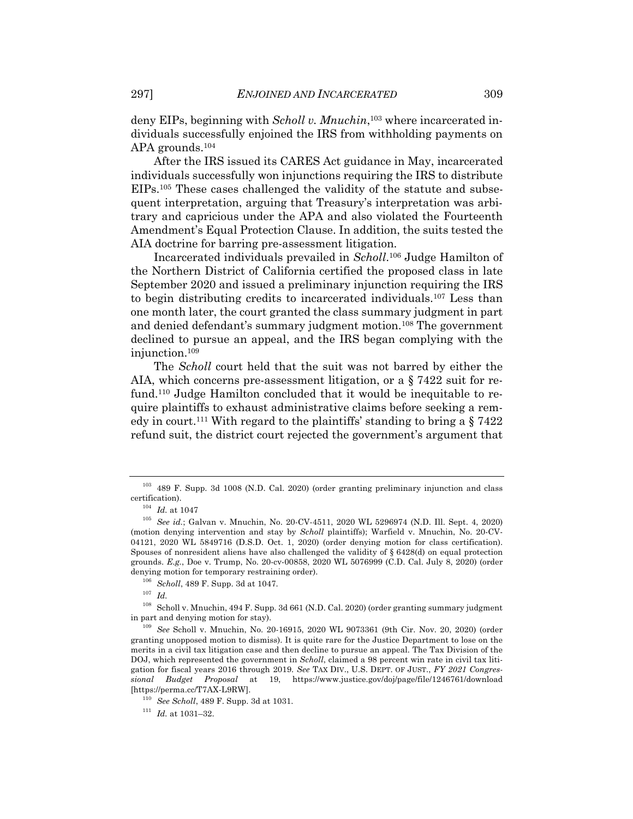deny EIPs, beginning with *Scholl v. Mnuchin*, <sup>103</sup> where incarcerated individuals successfully enjoined the IRS from withholding payments on APA grounds.104

After the IRS issued its CARES Act guidance in May, incarcerated individuals successfully won injunctions requiring the IRS to distribute EIPs.105 These cases challenged the validity of the statute and subsequent interpretation, arguing that Treasury's interpretation was arbitrary and capricious under the APA and also violated the Fourteenth Amendment's Equal Protection Clause. In addition, the suits tested the AIA doctrine for barring pre-assessment litigation.

Incarcerated individuals prevailed in *Scholl*. <sup>106</sup> Judge Hamilton of the Northern District of California certified the proposed class in late September 2020 and issued a preliminary injunction requiring the IRS to begin distributing credits to incarcerated individuals.107 Less than one month later, the court granted the class summary judgment in part and denied defendant's summary judgment motion.108 The government declined to pursue an appeal, and the IRS began complying with the injunction.109

The *Scholl* court held that the suit was not barred by either the AIA, which concerns pre-assessment litigation, or a § 7422 suit for refund.110 Judge Hamilton concluded that it would be inequitable to require plaintiffs to exhaust administrative claims before seeking a remedy in court.<sup>111</sup> With regard to the plaintiffs' standing to bring a  $\S 7422$ refund suit, the district court rejected the government's argument that

<sup>103</sup> 489 F. Supp. 3d 1008 (N.D. Cal. 2020) (order granting preliminary injunction and class certification).

<sup>104</sup> *Id.* at 1047

<sup>105</sup> *See id.*; Galvan v. Mnuchin, No. 20-CV-4511, 2020 WL 5296974 (N.D. Ill. Sept. 4, 2020) (motion denying intervention and stay by *Scholl* plaintiffs); Warfield v. Mnuchin, No. 20-CV-04121, 2020 WL 5849716 (D.S.D. Oct. 1, 2020) (order denying motion for class certification). Spouses of nonresident aliens have also challenged the validity of § 6428(d) on equal protection grounds. *E.g.*, Doe v. Trump, No. 20-cv-00858, 2020 WL 5076999 (C.D. Cal. July 8, 2020) (order denying motion for temporary restraining order).

<sup>106</sup> *Scholl*, 489 F. Supp. 3d at 1047.

<sup>107</sup> *Id.*

 $^{108}\,$  Scholl v. Mnuchin, 494 F. Supp. 3d 661 (N.D. Cal. 2020) (order granting summary judgment in part and denying motion for stay).

<sup>109</sup> *See* Scholl v. Mnuchin, No. 20-16915, 2020 WL 9073361 (9th Cir. Nov. 20, 2020) (order granting unopposed motion to dismiss). It is quite rare for the Justice Department to lose on the merits in a civil tax litigation case and then decline to pursue an appeal. The Tax Division of the DOJ, which represented the government in *Scholl*, claimed a 98 percent win rate in civil tax litigation for fiscal years 2016 through 2019. *See* TAX DIV., U.S. DEPT. OF JUST., *FY 2021 Congressional Budget Proposal* at 19, https://www.justice.gov/doj/page/file/1246761/download [https://perma.cc/T7AX-L9RW].

<sup>110</sup> *See Scholl*, 489 F. Supp. 3d at 1031.

 $^{111}$   $\,$   $\!Id.$  at 1031–32.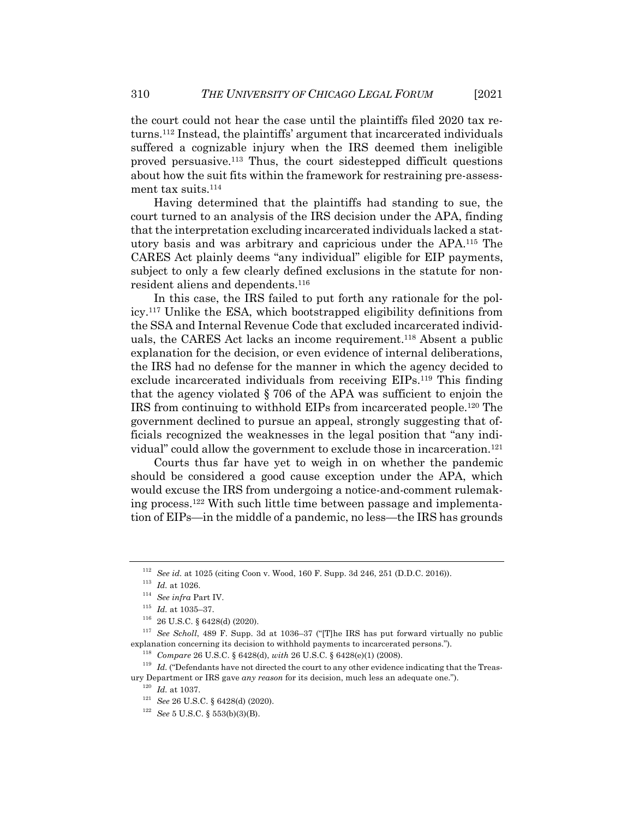the court could not hear the case until the plaintiffs filed 2020 tax returns.112 Instead, the plaintiffs' argument that incarcerated individuals suffered a cognizable injury when the IRS deemed them ineligible proved persuasive.113 Thus, the court sidestepped difficult questions about how the suit fits within the framework for restraining pre-assessment tax suits.114

Having determined that the plaintiffs had standing to sue, the court turned to an analysis of the IRS decision under the APA, finding that the interpretation excluding incarcerated individuals lacked a statutory basis and was arbitrary and capricious under the APA.115 The CARES Act plainly deems "any individual" eligible for EIP payments, subject to only a few clearly defined exclusions in the statute for nonresident aliens and dependents.116

In this case, the IRS failed to put forth any rationale for the policy.117 Unlike the ESA, which bootstrapped eligibility definitions from the SSA and Internal Revenue Code that excluded incarcerated individuals, the CARES Act lacks an income requirement.118 Absent a public explanation for the decision, or even evidence of internal deliberations, the IRS had no defense for the manner in which the agency decided to exclude incarcerated individuals from receiving EIPs.<sup>119</sup> This finding that the agency violated § 706 of the APA was sufficient to enjoin the IRS from continuing to withhold EIPs from incarcerated people.120 The government declined to pursue an appeal, strongly suggesting that officials recognized the weaknesses in the legal position that "any individual" could allow the government to exclude those in incarceration.<sup>121</sup>

Courts thus far have yet to weigh in on whether the pandemic should be considered a good cause exception under the APA, which would excuse the IRS from undergoing a notice-and-comment rulemaking process.122 With such little time between passage and implementation of EIPs—in the middle of a pandemic, no less—the IRS has grounds

<sup>119</sup> *Id.* ("Defendants have not directed the court to any other evidence indicating that the Treasury Department or IRS gave *any reason* for its decision, much less an adequate one.").

 $^{120}\,$   $Id.\,$  at 1037.

<sup>112</sup> *See id.* at 1025 (citing Coon v. Wood, 160 F. Supp. 3d 246, 251 (D.D.C. 2016)).

 $^{113}\,$   $Id.\,$  at 1026.

<sup>114</sup> *See infra* Part IV.

 $^{115}$   $\,$   $\!d.\,$  at 1035–37.

 $^{116}$  26 U.S.C. § 6428(d) (2020).

<sup>117</sup> *See Scholl*, 489 F. Supp. 3d at 1036–37 ("[T]he IRS has put forward virtually no public explanation concerning its decision to withhold payments to incarcerated persons.").

<sup>118</sup> *Compare* 26 U.S.C. § 6428(d), *with* 26 U.S.C. § 6428(e)(1) (2008).

<sup>121</sup> *See* 26 U.S.C. § 6428(d) (2020).

<sup>122</sup> *See* 5 U.S.C. § 553(b)(3)(B).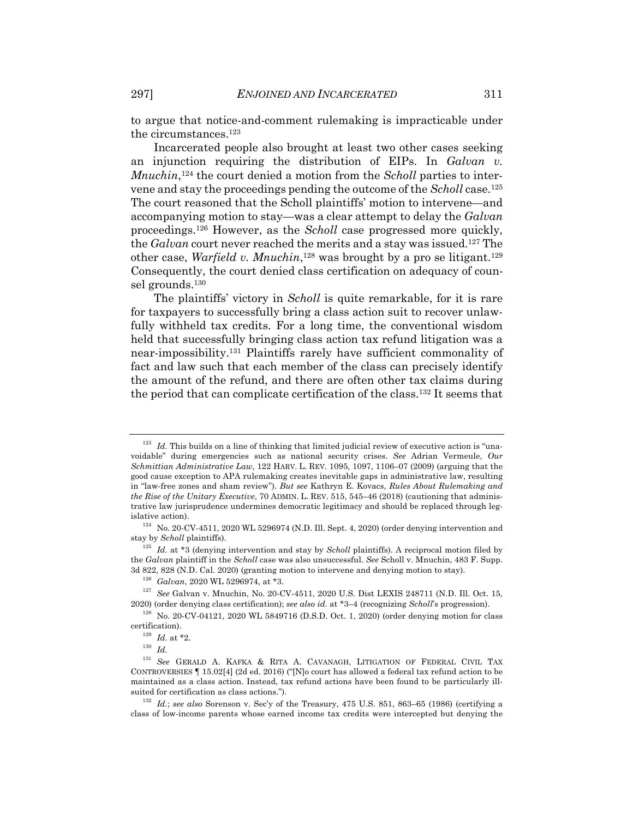to argue that notice-and-comment rulemaking is impracticable under the circumstances.123

Incarcerated people also brought at least two other cases seeking an injunction requiring the distribution of EIPs. In *Galvan v. Mnuchin*,124 the court denied a motion from the *Scholl* parties to intervene and stay the proceedings pending the outcome of the *Scholl* case.125 The court reasoned that the Scholl plaintiffs' motion to intervene—and accompanying motion to stay—was a clear attempt to delay the *Galvan* proceedings.126 However, as the *Scholl* case progressed more quickly, the *Galvan* court never reached the merits and a stay was issued.127 The other case, *Warfield v. Mnuchin*, <sup>128</sup> was brought by a pro se litigant.129 Consequently, the court denied class certification on adequacy of counsel grounds.<sup>130</sup>

The plaintiffs' victory in *Scholl* is quite remarkable, for it is rare for taxpayers to successfully bring a class action suit to recover unlawfully withheld tax credits. For a long time, the conventional wisdom held that successfully bringing class action tax refund litigation was a near-impossibility.131 Plaintiffs rarely have sufficient commonality of fact and law such that each member of the class can precisely identify the amount of the refund, and there are often other tax claims during the period that can complicate certification of the class.132 It seems that

<sup>&</sup>lt;sup>123</sup> *Id.* This builds on a line of thinking that limited judicial review of executive action is "unavoidable" during emergencies such as national security crises. *See* Adrian Vermeule, *Our Schmittian Administrative Law*, 122 HARV. L. REV. 1095, 1097, 1106–07 (2009) (arguing that the good cause exception to APA rulemaking creates inevitable gaps in administrative law, resulting in "law-free zones and sham review"). *But see* Kathryn E. Kovacs, *Rules About Rulemaking and the Rise of the Unitary Executive*, 70 ADMIN. L. REV. 515, 545–46 (2018) (cautioning that administrative law jurisprudence undermines democratic legitimacy and should be replaced through legislative action).

 $124$  No. 20-CV-4511, 2020 WL 5296974 (N.D. Ill. Sept. 4, 2020) (order denying intervention and stay by *Scholl* plaintiffs).

<sup>125</sup> *Id.* at \*3 (denying intervention and stay by *Scholl* plaintiffs). A reciprocal motion filed by the *Galvan* plaintiff in the *Scholl* case was also unsuccessful. *See* Scholl v. Mnuchin, 483 F. Supp. 3d 822, 828 (N.D. Cal. 2020) (granting motion to intervene and denying motion to stay).

<sup>126</sup> *Galvan*, 2020 WL 5296974, at \*3.

<sup>127</sup> *See* Galvan v. Mnuchin, No. 20-CV-4511, 2020 U.S. Dist LEXIS 248711 (N.D. Ill. Oct. 15, 2020) (order denying class certification); *see also id.* at \*3–4 (recognizing *Scholl*'s progression).

<sup>128</sup> No. 20-CV-04121, 2020 WL 5849716 (D.S.D. Oct. 1, 2020) (order denying motion for class certification).

 $^{129}$   $\,$   $\!Id.$  at \*2.

<sup>130</sup> *Id.*

<sup>131</sup> *See* GERALD A. KAFKA & RITA A. CAVANAGH, LITIGATION OF FEDERAL CIVIL TAX CONTROVERSIES ¶ 15.02[4] (2d ed. 2016) ("[N]o court has allowed a federal tax refund action to be maintained as a class action. Instead, tax refund actions have been found to be particularly illsuited for certification as class actions.").

<sup>132</sup> *Id.*; *see also* Sorenson v. Sec'y of the Treasury, 475 U.S. 851, 863–65 (1986) (certifying a class of low-income parents whose earned income tax credits were intercepted but denying the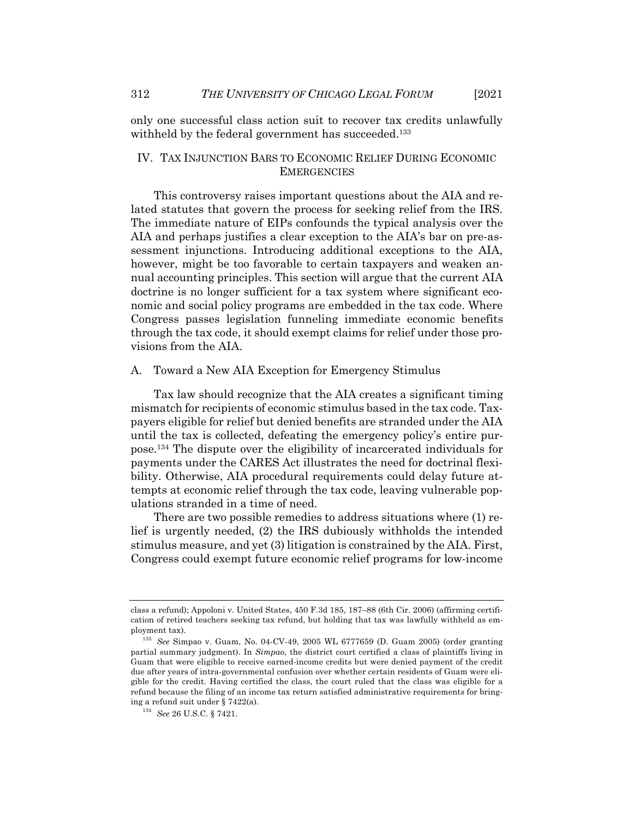only one successful class action suit to recover tax credits unlawfully withheld by the federal government has succeeded.<sup>133</sup>

### IV. TAX INJUNCTION BARS TO ECONOMIC RELIEF DURING ECONOMIC **EMERGENCIES**

This controversy raises important questions about the AIA and related statutes that govern the process for seeking relief from the IRS. The immediate nature of EIPs confounds the typical analysis over the AIA and perhaps justifies a clear exception to the AIA's bar on pre-assessment injunctions. Introducing additional exceptions to the AIA, however, might be too favorable to certain taxpayers and weaken annual accounting principles. This section will argue that the current AIA doctrine is no longer sufficient for a tax system where significant economic and social policy programs are embedded in the tax code. Where Congress passes legislation funneling immediate economic benefits through the tax code, it should exempt claims for relief under those provisions from the AIA.

#### A. Toward a New AIA Exception for Emergency Stimulus

Tax law should recognize that the AIA creates a significant timing mismatch for recipients of economic stimulus based in the tax code. Taxpayers eligible for relief but denied benefits are stranded under the AIA until the tax is collected, defeating the emergency policy's entire purpose.134 The dispute over the eligibility of incarcerated individuals for payments under the CARES Act illustrates the need for doctrinal flexibility. Otherwise, AIA procedural requirements could delay future attempts at economic relief through the tax code, leaving vulnerable populations stranded in a time of need.

There are two possible remedies to address situations where (1) relief is urgently needed, (2) the IRS dubiously withholds the intended stimulus measure, and yet (3) litigation is constrained by the AIA. First, Congress could exempt future economic relief programs for low-income

class a refund); Appoloni v. United States, 450 F.3d 185, 187–88 (6th Cir. 2006) (affirming certification of retired teachers seeking tax refund, but holding that tax was lawfully withheld as employment tax).

<sup>133</sup> *See* Simpao v. Guam, No. 04-CV-49, 2005 WL 6777659 (D. Guam 2005) (order granting partial summary judgment). In *Simpao*, the district court certified a class of plaintiffs living in Guam that were eligible to receive earned-income credits but were denied payment of the credit due after years of intra-governmental confusion over whether certain residents of Guam were eligible for the credit. Having certified the class, the court ruled that the class was eligible for a refund because the filing of an income tax return satisfied administrative requirements for bringing a refund suit under § 7422(a).

<sup>134</sup> *See* 26 U.S.C. § 7421.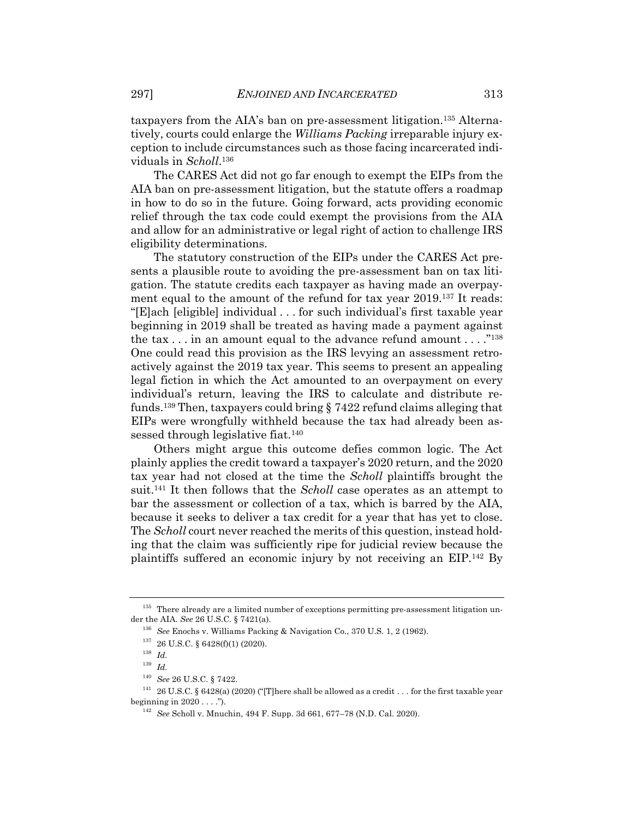taxpayers from the AIA's ban on pre-assessment litigation.135 Alternatively, courts could enlarge the *Williams Packing* irreparable injury exception to include circumstances such as those facing incarcerated individuals in *Scholl*. 136

The CARES Act did not go far enough to exempt the EIPs from the AIA ban on pre-assessment litigation, but the statute offers a roadmap in how to do so in the future. Going forward, acts providing economic relief through the tax code could exempt the provisions from the AIA and allow for an administrative or legal right of action to challenge IRS eligibility determinations.

The statutory construction of the EIPs under the CARES Act presents a plausible route to avoiding the pre-assessment ban on tax litigation. The statute credits each taxpayer as having made an overpayment equal to the amount of the refund for tax year 2019.137 It reads: "[E]ach [eligible] individual . . . for such individual's first taxable year beginning in 2019 shall be treated as having made a payment against the tax  $\dots$  in an amount equal to the advance refund amount  $\dots$ ."<sup>138</sup> One could read this provision as the IRS levying an assessment retroactively against the 2019 tax year. This seems to present an appealing legal fiction in which the Act amounted to an overpayment on every individual's return, leaving the IRS to calculate and distribute refunds.139 Then, taxpayers could bring § 7422 refund claims alleging that EIPs were wrongfully withheld because the tax had already been assessed through legislative fiat.<sup>140</sup>

Others might argue this outcome defies common logic. The Act plainly applies the credit toward a taxpayer's 2020 return, and the 2020 tax year had not closed at the time the *Scholl* plaintiffs brought the suit.141 It then follows that the *Scholl* case operates as an attempt to bar the assessment or collection of a tax, which is barred by the AIA, because it seeks to deliver a tax credit for a year that has yet to close. The *Scholl* court never reached the merits of this question, instead holding that the claim was sufficiently ripe for judicial review because the plaintiffs suffered an economic injury by not receiving an EIP.142 By

 $^{135}\,$  There already are a limited number of exceptions permitting pre-assessment litigation under the AIA. *See* 26 U.S.C. § 7421(a).

<sup>136</sup> *See* Enochs v. Williams Packing & Navigation Co., 370 U.S. 1, 2 (1962).

 $^{137}$  26 U.S.C. § 6428(f)(1) (2020).

<sup>138</sup> *Id.*

<sup>139</sup> *Id.*

<sup>140</sup> *See* 26 U.S.C. § 7422.

<sup>&</sup>lt;sup>141</sup> 26 U.S.C. § 6428(a) (2020) ("[T]here shall be allowed as a credit . . . for the first taxable year beginning in  $2020...$ ....").

<sup>142</sup> *See* Scholl v. Mnuchin, 494 F. Supp. 3d 661, 677–78 (N.D. Cal. 2020).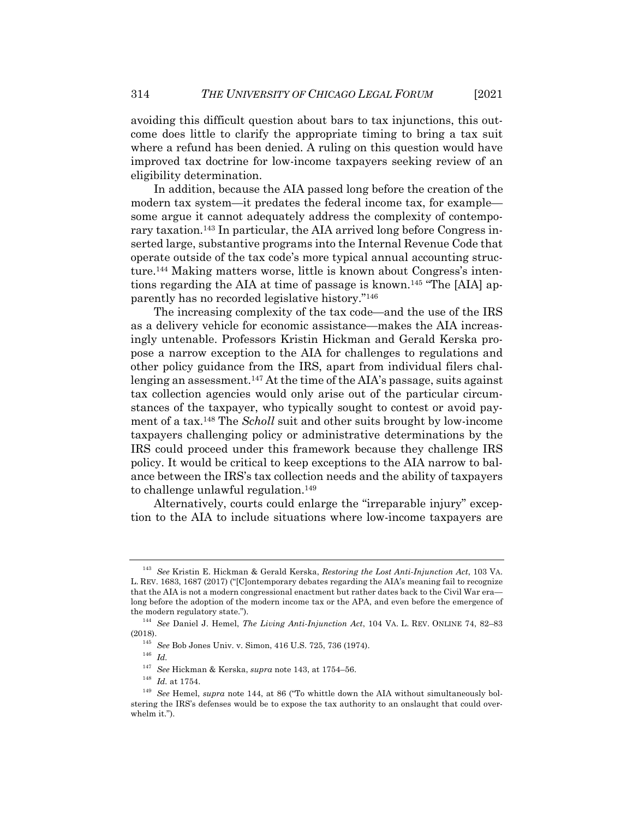avoiding this difficult question about bars to tax injunctions, this outcome does little to clarify the appropriate timing to bring a tax suit where a refund has been denied. A ruling on this question would have improved tax doctrine for low-income taxpayers seeking review of an eligibility determination.

In addition, because the AIA passed long before the creation of the modern tax system—it predates the federal income tax, for example some argue it cannot adequately address the complexity of contemporary taxation.143 In particular, the AIA arrived long before Congress inserted large, substantive programs into the Internal Revenue Code that operate outside of the tax code's more typical annual accounting structure.144 Making matters worse, little is known about Congress's intentions regarding the AIA at time of passage is known.145 "The [AIA] apparently has no recorded legislative history."146

The increasing complexity of the tax code—and the use of the IRS as a delivery vehicle for economic assistance—makes the AIA increasingly untenable. Professors Kristin Hickman and Gerald Kerska propose a narrow exception to the AIA for challenges to regulations and other policy guidance from the IRS, apart from individual filers challenging an assessment.<sup>147</sup> At the time of the AIA's passage, suits against tax collection agencies would only arise out of the particular circumstances of the taxpayer, who typically sought to contest or avoid payment of a tax.148 The *Scholl* suit and other suits brought by low-income taxpayers challenging policy or administrative determinations by the IRS could proceed under this framework because they challenge IRS policy. It would be critical to keep exceptions to the AIA narrow to balance between the IRS's tax collection needs and the ability of taxpayers to challenge unlawful regulation.149

Alternatively, courts could enlarge the "irreparable injury" exception to the AIA to include situations where low-income taxpayers are

<sup>143</sup> *See* Kristin E. Hickman & Gerald Kerska, *Restoring the Lost Anti-Injunction Act*, 103 VA. L. REV. 1683, 1687 (2017) ("[C]ontemporary debates regarding the AIA's meaning fail to recognize that the AIA is not a modern congressional enactment but rather dates back to the Civil War era long before the adoption of the modern income tax or the APA, and even before the emergence of the modern regulatory state.").

<sup>144</sup> *See* Daniel J. Hemel, *The Living Anti-Injunction Act*, 104 VA. L. REV. ONLINE 74, 82–83 (2018).

<sup>145</sup> *See* Bob Jones Univ. v. Simon, 416 U.S. 725, 736 (1974).

<sup>146</sup> *Id.*

<sup>147</sup> *See* Hickman & Kerska, *supra* note 143, at 1754–56.

 $^{148}\,$   $Id.\,$  at 1754.

<sup>149</sup> *See* Hemel, *supra* note 144, at 86 ("To whittle down the AIA without simultaneously bolstering the IRS's defenses would be to expose the tax authority to an onslaught that could overwhelm it.").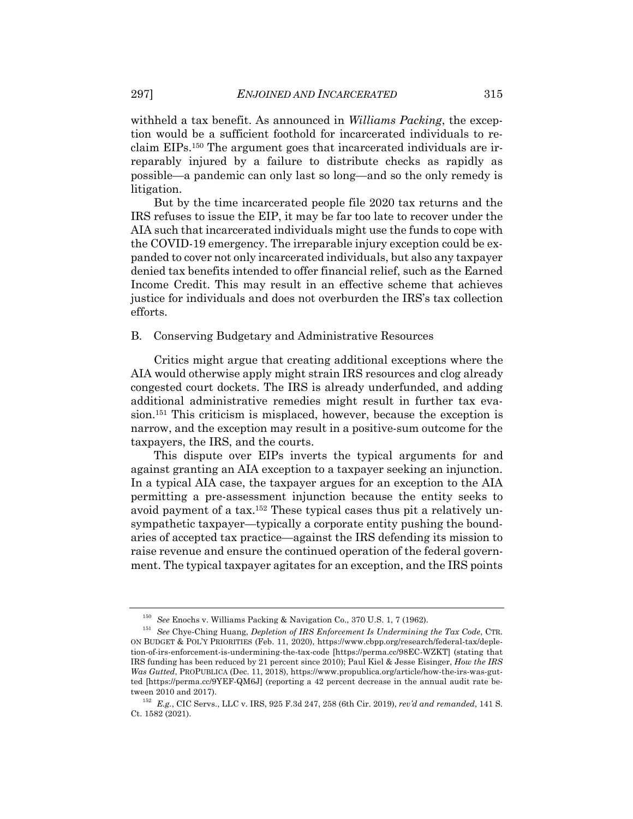withheld a tax benefit. As announced in *Williams Packing*, the exception would be a sufficient foothold for incarcerated individuals to reclaim EIPs.150 The argument goes that incarcerated individuals are irreparably injured by a failure to distribute checks as rapidly as possible—a pandemic can only last so long—and so the only remedy is litigation.

But by the time incarcerated people file 2020 tax returns and the IRS refuses to issue the EIP, it may be far too late to recover under the AIA such that incarcerated individuals might use the funds to cope with the COVID-19 emergency. The irreparable injury exception could be expanded to cover not only incarcerated individuals, but also any taxpayer denied tax benefits intended to offer financial relief, such as the Earned Income Credit. This may result in an effective scheme that achieves justice for individuals and does not overburden the IRS's tax collection efforts.

#### B. Conserving Budgetary and Administrative Resources

Critics might argue that creating additional exceptions where the AIA would otherwise apply might strain IRS resources and clog already congested court dockets. The IRS is already underfunded, and adding additional administrative remedies might result in further tax evasion.151 This criticism is misplaced, however, because the exception is narrow, and the exception may result in a positive-sum outcome for the taxpayers, the IRS, and the courts.

This dispute over EIPs inverts the typical arguments for and against granting an AIA exception to a taxpayer seeking an injunction. In a typical AIA case, the taxpayer argues for an exception to the AIA permitting a pre-assessment injunction because the entity seeks to avoid payment of a tax.152 These typical cases thus pit a relatively unsympathetic taxpayer—typically a corporate entity pushing the boundaries of accepted tax practice—against the IRS defending its mission to raise revenue and ensure the continued operation of the federal government. The typical taxpayer agitates for an exception, and the IRS points

<sup>150</sup> *See* Enochs v. Williams Packing & Navigation Co., 370 U.S. 1, 7 (1962).

<sup>151</sup> *See* Chye-Ching Huang, *Depletion of IRS Enforcement Is Undermining the Tax Code*, CTR. ON BUDGET & POL'Y PRIORITIES (Feb. 11, 2020), https://www.cbpp.org/research/federal-tax/depletion-of-irs-enforcement-is-undermining-the-tax-code [https://perma.cc/98EC-WZKT] (stating that IRS funding has been reduced by 21 percent since 2010); Paul Kiel & Jesse Eisinger, *How the IRS Was Gutted*, PROPUBLICA (Dec. 11, 2018), https://www.propublica.org/article/how-the-irs-was-gutted [https://perma.cc/9YEF-QM6J] (reporting a 42 percent decrease in the annual audit rate between 2010 and 2017).

<sup>152</sup> *E.g.*, CIC Servs., LLC v. IRS, 925 F.3d 247, 258 (6th Cir. 2019), *rev'd and remanded*, 141 S. Ct. 1582 (2021).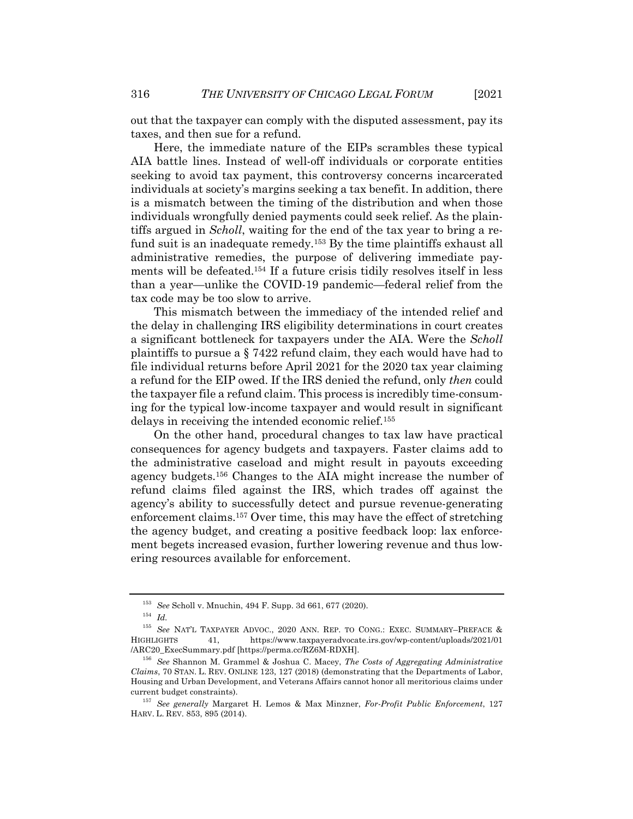out that the taxpayer can comply with the disputed assessment, pay its taxes, and then sue for a refund.

Here, the immediate nature of the EIPs scrambles these typical AIA battle lines. Instead of well-off individuals or corporate entities seeking to avoid tax payment, this controversy concerns incarcerated individuals at society's margins seeking a tax benefit. In addition, there is a mismatch between the timing of the distribution and when those individuals wrongfully denied payments could seek relief. As the plaintiffs argued in *Scholl*, waiting for the end of the tax year to bring a refund suit is an inadequate remedy.153 By the time plaintiffs exhaust all administrative remedies, the purpose of delivering immediate payments will be defeated.154 If a future crisis tidily resolves itself in less than a year—unlike the COVID-19 pandemic—federal relief from the tax code may be too slow to arrive.

This mismatch between the immediacy of the intended relief and the delay in challenging IRS eligibility determinations in court creates a significant bottleneck for taxpayers under the AIA. Were the *Scholl* plaintiffs to pursue a § 7422 refund claim, they each would have had to file individual returns before April 2021 for the 2020 tax year claiming a refund for the EIP owed. If the IRS denied the refund, only *then* could the taxpayer file a refund claim. This process is incredibly time-consuming for the typical low-income taxpayer and would result in significant delays in receiving the intended economic relief.155

On the other hand, procedural changes to tax law have practical consequences for agency budgets and taxpayers. Faster claims add to the administrative caseload and might result in payouts exceeding agency budgets.156 Changes to the AIA might increase the number of refund claims filed against the IRS, which trades off against the agency's ability to successfully detect and pursue revenue-generating enforcement claims.157 Over time, this may have the effect of stretching the agency budget, and creating a positive feedback loop: lax enforcement begets increased evasion, further lowering revenue and thus lowering resources available for enforcement.

<sup>153</sup> *See* Scholl v. Mnuchin, 494 F. Supp. 3d 661, 677 (2020).

<sup>154</sup> *Id.*

<sup>155</sup> *See* NAT'L TAXPAYER ADVOC., 2020 ANN. REP. TO CONG.: EXEC. SUMMARY–PREFACE & HIGHLIGHTS 41, https://www.taxpayeradvocate.irs.gov/wp-content/uploads/2021/01 /ARC20\_ExecSummary.pdf [https://perma.cc/RZ6M-RDXH].

<sup>156</sup> *See* Shannon M. Grammel & Joshua C. Macey, *The Costs of Aggregating Administrative Claims*, 70 STAN. L. REV. ONLINE 123, 127 (2018) (demonstrating that the Departments of Labor, Housing and Urban Development, and Veterans Affairs cannot honor all meritorious claims under current budget constraints).

<sup>157</sup> *See generally* Margaret H. Lemos & Max Minzner, *For-Profit Public Enforcement*, 127 HARV. L. REV. 853, 895 (2014).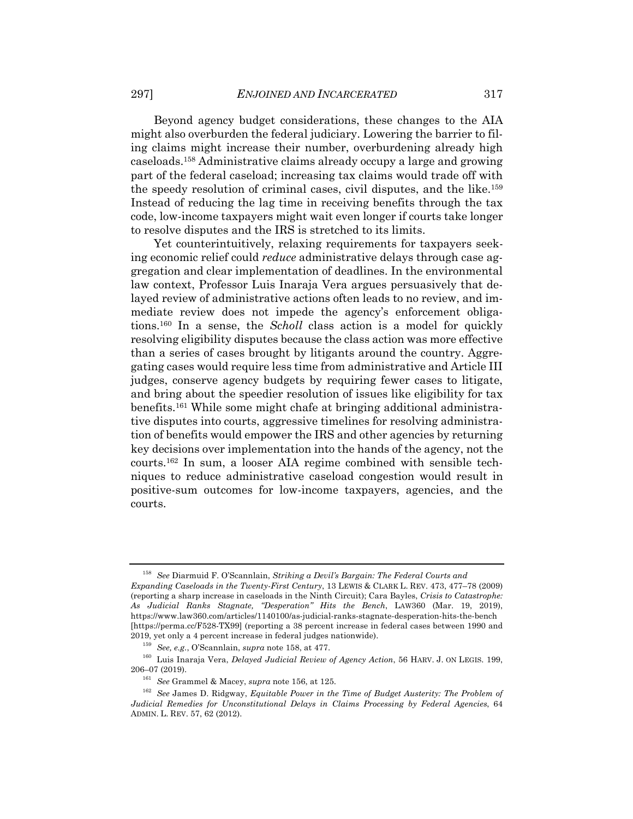Beyond agency budget considerations, these changes to the AIA might also overburden the federal judiciary. Lowering the barrier to filing claims might increase their number, overburdening already high caseloads.158 Administrative claims already occupy a large and growing part of the federal caseload; increasing tax claims would trade off with the speedy resolution of criminal cases, civil disputes, and the like.159 Instead of reducing the lag time in receiving benefits through the tax code, low-income taxpayers might wait even longer if courts take longer to resolve disputes and the IRS is stretched to its limits.

Yet counterintuitively, relaxing requirements for taxpayers seeking economic relief could *reduce* administrative delays through case aggregation and clear implementation of deadlines. In the environmental law context, Professor Luis Inaraja Vera argues persuasively that delayed review of administrative actions often leads to no review, and immediate review does not impede the agency's enforcement obligations.160 In a sense, the *Scholl* class action is a model for quickly resolving eligibility disputes because the class action was more effective than a series of cases brought by litigants around the country. Aggregating cases would require less time from administrative and Article III judges, conserve agency budgets by requiring fewer cases to litigate, and bring about the speedier resolution of issues like eligibility for tax benefits.161 While some might chafe at bringing additional administrative disputes into courts, aggressive timelines for resolving administration of benefits would empower the IRS and other agencies by returning key decisions over implementation into the hands of the agency, not the courts.162 In sum, a looser AIA regime combined with sensible techniques to reduce administrative caseload congestion would result in positive-sum outcomes for low-income taxpayers, agencies, and the courts.

<sup>158</sup> *See* Diarmuid F. O'Scannlain, *Striking a Devil's Bargain: The Federal Courts and Expanding Caseloads in the Twenty-First Century*, 13 LEWIS & CLARK L. REV. 473, 477–78 (2009) (reporting a sharp increase in caseloads in the Ninth Circuit); Cara Bayles, *Crisis to Catastrophe: As Judicial Ranks Stagnate, "Desperation" Hits the Bench*, LAW360 (Mar. 19, 2019), https://www.law360.com/articles/1140100/as-judicial-ranks-stagnate-desperation-hits-the-bench [https://perma.cc/F528-TX99] (reporting a 38 percent increase in federal cases between 1990 and 2019, yet only a 4 percent increase in federal judges nationwide).

<sup>159</sup> *See, e.g.*, O'Scannlain, *supra* note 158, at 477.

<sup>160</sup> Luis Inaraja Vera, *Delayed Judicial Review of Agency Action*, 56 HARV. J. ON LEGIS. 199, 206–07 (2019).

<sup>161</sup> *See* Grammel & Macey, *supra* note 156, at 125.

<sup>162</sup> *See* James D. Ridgway, *Equitable Power in the Time of Budget Austerity: The Problem of Judicial Remedies for Unconstitutional Delays in Claims Processing by Federal Agencies*, 64 ADMIN. L. REV. 57, 62 (2012).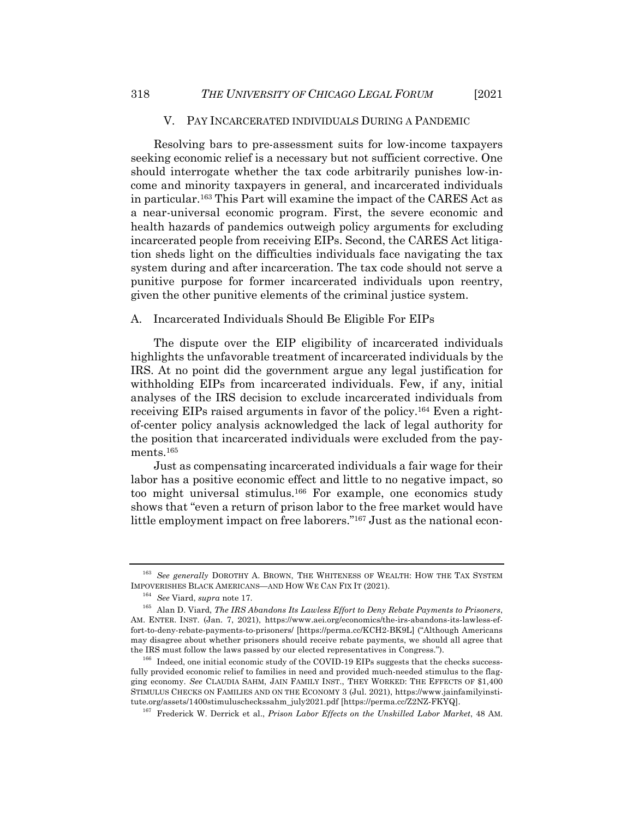#### V. PAY INCARCERATED INDIVIDUALS DURING A PANDEMIC

Resolving bars to pre-assessment suits for low-income taxpayers seeking economic relief is a necessary but not sufficient corrective. One should interrogate whether the tax code arbitrarily punishes low-income and minority taxpayers in general, and incarcerated individuals in particular.163 This Part will examine the impact of the CARES Act as a near-universal economic program. First, the severe economic and health hazards of pandemics outweigh policy arguments for excluding incarcerated people from receiving EIPs. Second, the CARES Act litigation sheds light on the difficulties individuals face navigating the tax system during and after incarceration. The tax code should not serve a punitive purpose for former incarcerated individuals upon reentry, given the other punitive elements of the criminal justice system.

#### A. Incarcerated Individuals Should Be Eligible For EIPs

The dispute over the EIP eligibility of incarcerated individuals highlights the unfavorable treatment of incarcerated individuals by the IRS. At no point did the government argue any legal justification for withholding EIPs from incarcerated individuals. Few, if any, initial analyses of the IRS decision to exclude incarcerated individuals from receiving EIPs raised arguments in favor of the policy.164 Even a rightof-center policy analysis acknowledged the lack of legal authority for the position that incarcerated individuals were excluded from the payments.165

Just as compensating incarcerated individuals a fair wage for their labor has a positive economic effect and little to no negative impact, so too might universal stimulus.166 For example, one economics study shows that "even a return of prison labor to the free market would have little employment impact on free laborers."167 Just as the national econ-

<sup>&</sup>lt;sup>163</sup> See generally DOROTHY A. BROWN, THE WHITENESS OF WEALTH: HOW THE TAX SYSTEM IMPOVERISHES BLACK AMERICANS—AND HOW WE CAN FIX IT (2021).

<sup>164</sup> *See* Viard, *supra* note 17.

<sup>165</sup> Alan D. Viard, *The IRS Abandons Its Lawless Effort to Deny Rebate Payments to Prisoners*, AM. ENTER. INST. (Jan. 7, 2021), https://www.aei.org/economics/the-irs-abandons-its-lawless-effort-to-deny-rebate-payments-to-prisoners/ [https://perma.cc/KCH2-BK9L] ("Although Americans may disagree about whether prisoners should receive rebate payments, we should all agree that the IRS must follow the laws passed by our elected representatives in Congress.").

<sup>&</sup>lt;sup>166</sup> Indeed, one initial economic study of the COVID-19 EIPs suggests that the checks successfully provided economic relief to families in need and provided much-needed stimulus to the flagging economy. *See* CLAUDIA SAHM, JAIN FAMILY INST., THEY WORKED: THE EFFECTS OF \$1,400 STIMULUS CHECKS ON FAMILIES AND ON THE ECONOMY 3 (Jul. 2021), https://www.jainfamilyinstitute.org/assets/1400stimuluscheckssahm\_july2021.pdf [https://perma.cc/Z2NZ-FKYQ].

<sup>167</sup> Frederick W. Derrick et al., *Prison Labor Effects on the Unskilled Labor Market*, 48 AM.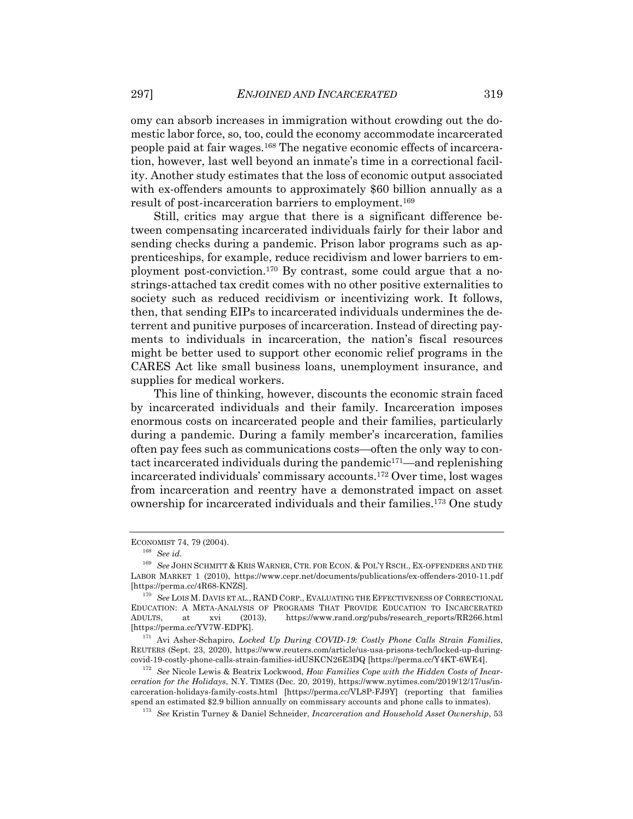omy can absorb increases in immigration without crowding out the domestic labor force, so, too, could the economy accommodate incarcerated people paid at fair wages.168 The negative economic effects of incarceration, however, last well beyond an inmate's time in a correctional facility. Another study estimates that the loss of economic output associated with ex-offenders amounts to approximately \$60 billion annually as a result of post-incarceration barriers to employment.169

Still, critics may argue that there is a significant difference between compensating incarcerated individuals fairly for their labor and sending checks during a pandemic. Prison labor programs such as apprenticeships, for example, reduce recidivism and lower barriers to employment post-conviction.170 By contrast, some could argue that a nostrings-attached tax credit comes with no other positive externalities to society such as reduced recidivism or incentivizing work. It follows, then, that sending EIPs to incarcerated individuals undermines the deterrent and punitive purposes of incarceration. Instead of directing payments to individuals in incarceration, the nation's fiscal resources might be better used to support other economic relief programs in the CARES Act like small business loans, unemployment insurance, and supplies for medical workers.

This line of thinking, however, discounts the economic strain faced by incarcerated individuals and their family. Incarceration imposes enormous costs on incarcerated people and their families, particularly during a pandemic. During a family member's incarceration, families often pay fees such as communications costs—often the only way to contact incarcerated individuals during the pandemic<sup>171</sup>—and replenishing incarcerated individuals' commissary accounts.172 Over time, lost wages from incarceration and reentry have a demonstrated impact on asset ownership for incarcerated individuals and their families.173 One study

ECONOMIST 74, 79 (2004).

<sup>168</sup> *See id.*

<sup>169</sup> *See* JOHN SCHMITT & KRIS WARNER, CTR. FOR ECON. & POL'Y RSCH., EX-OFFENDERS AND THE LABOR MARKET 1 (2010), https://www.cepr.net/documents/publications/ex-offenders-2010-11.pdf [https://perma.cc/4R68-KNZS].

<sup>170</sup> *See* LOIS M. DAVIS ET AL., RAND CORP., EVALUATING THE EFFECTIVENESS OF CORRECTIONAL EDUCATION: A META-ANALYSIS OF PROGRAMS THAT PROVIDE EDUCATION TO INCARCERATED ADULTS, at xvi (2013), https://www.rand.org/pubs/research\_reports/RR266.html [https://perma.cc/YV7W-EDPK].

<sup>171</sup> Avi Asher-Schapiro, *Locked Up During COVID-19: Costly Phone Calls Strain Families*, REUTERS (Sept. 23, 2020), https://www.reuters.com/article/us-usa-prisons-tech/locked-up-duringcovid-19-costly-phone-calls-strain-families-idUSKCN26E3DQ [https://perma.cc/Y4KT-6WE4].

<sup>172</sup> *See* Nicole Lewis & Beatrix Lockwood, *How Families Cope with the Hidden Costs of Incarceration for the Holidays*, N.Y. TIMES (Dec. 20, 2019), https://www.nytimes.com/2019/12/17/us/incarceration-holidays-family-costs.html [https://perma.cc/VL8P-FJ9Y] (reporting that families spend an estimated \$2.9 billion annually on commissary accounts and phone calls to inmates).

<sup>173</sup> *See* Kristin Turney & Daniel Schneider, *Incarceration and Household Asset Ownership*, 53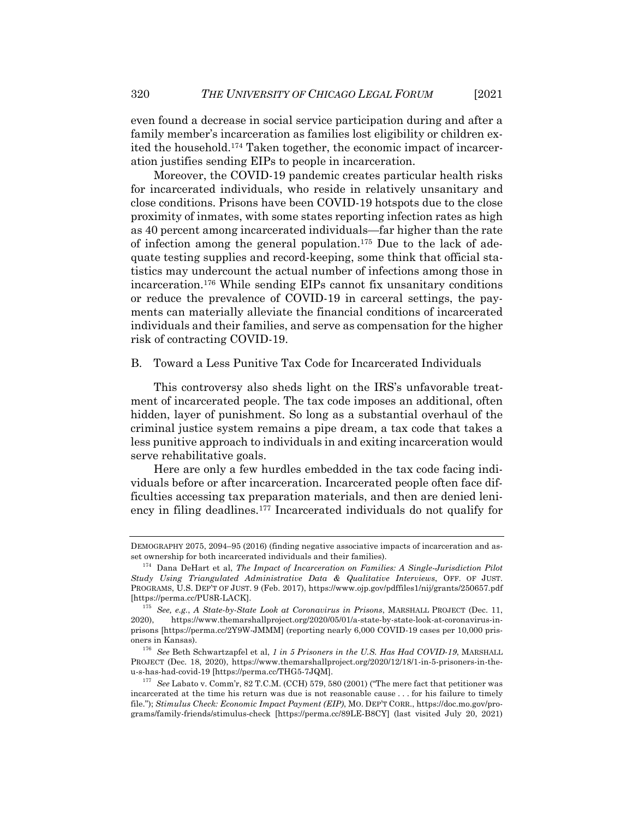even found a decrease in social service participation during and after a family member's incarceration as families lost eligibility or children exited the household.174 Taken together, the economic impact of incarceration justifies sending EIPs to people in incarceration.

Moreover, the COVID-19 pandemic creates particular health risks for incarcerated individuals, who reside in relatively unsanitary and close conditions. Prisons have been COVID-19 hotspots due to the close proximity of inmates, with some states reporting infection rates as high as 40 percent among incarcerated individuals—far higher than the rate of infection among the general population.175 Due to the lack of adequate testing supplies and record-keeping, some think that official statistics may undercount the actual number of infections among those in incarceration.176 While sending EIPs cannot fix unsanitary conditions or reduce the prevalence of COVID-19 in carceral settings, the payments can materially alleviate the financial conditions of incarcerated individuals and their families, and serve as compensation for the higher risk of contracting COVID-19.

## B. Toward a Less Punitive Tax Code for Incarcerated Individuals

This controversy also sheds light on the IRS's unfavorable treatment of incarcerated people. The tax code imposes an additional, often hidden, layer of punishment. So long as a substantial overhaul of the criminal justice system remains a pipe dream, a tax code that takes a less punitive approach to individuals in and exiting incarceration would serve rehabilitative goals.

Here are only a few hurdles embedded in the tax code facing individuals before or after incarceration. Incarcerated people often face difficulties accessing tax preparation materials, and then are denied leniency in filing deadlines.177 Incarcerated individuals do not qualify for

DEMOGRAPHY 2075, 2094–95 (2016) (finding negative associative impacts of incarceration and asset ownership for both incarcerated individuals and their families).

<sup>174</sup> Dana DeHart et al, *The Impact of Incarceration on Families: A Single-Jurisdiction Pilot Study Using Triangulated Administrative Data & Qualitative Interviews*, OFF. OF JUST. PROGRAMS, U.S. DEP'T OF JUST. 9 (Feb. 2017), https://www.ojp.gov/pdffiles1/nij/grants/250657.pdf [https://perma.cc/PU8R-LACK].

<sup>175</sup> *See, e.g.*, *A State-by-State Look at Coronavirus in Prisons*, MARSHALL PROJECT (Dec. 11, 2020), https://www.themarshallproject.org/2020/05/01/a-state-by-state-look-at-coronavirus-inprisons [https://perma.cc/2Y9W-JMMM] (reporting nearly 6,000 COVID-19 cases per 10,000 prisoners in Kansas).

<sup>176</sup> *See* Beth Schwartzapfel et al, *1 in 5 Prisoners in the U.S. Has Had COVID-19*, MARSHALL PROJECT (Dec. 18, 2020), https://www.themarshallproject.org/2020/12/18/1-in-5-prisoners-in-theu-s-has-had-covid-19 [https://perma.cc/THG5-7JQM].

<sup>177</sup> *See* Labato v. Comm'r, 82 T.C.M. (CCH) 579, 580 (2001) ("The mere fact that petitioner was incarcerated at the time his return was due is not reasonable cause . . . for his failure to timely file."); *Stimulus Check: Economic Impact Payment (EIP)*, MO. DEP'T CORR., https://doc.mo.gov/programs/family-friends/stimulus-check [https://perma.cc/89LE-B8CY] (last visited July 20, 2021)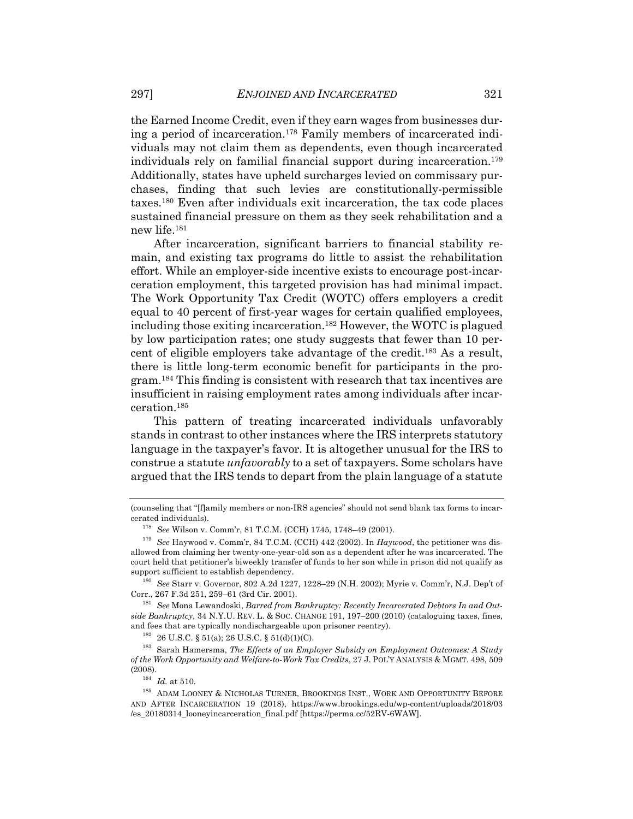the Earned Income Credit, even if they earn wages from businesses during a period of incarceration.178 Family members of incarcerated individuals may not claim them as dependents, even though incarcerated individuals rely on familial financial support during incarceration.179 Additionally, states have upheld surcharges levied on commissary purchases, finding that such levies are constitutionally-permissible taxes.180 Even after individuals exit incarceration, the tax code places sustained financial pressure on them as they seek rehabilitation and a new life.181

After incarceration, significant barriers to financial stability remain, and existing tax programs do little to assist the rehabilitation effort. While an employer-side incentive exists to encourage post-incarceration employment, this targeted provision has had minimal impact. The Work Opportunity Tax Credit (WOTC) offers employers a credit equal to 40 percent of first-year wages for certain qualified employees, including those exiting incarceration.182 However, the WOTC is plagued by low participation rates; one study suggests that fewer than 10 percent of eligible employers take advantage of the credit.183 As a result, there is little long-term economic benefit for participants in the program.184 This finding is consistent with research that tax incentives are insufficient in raising employment rates among individuals after incarceration.185

This pattern of treating incarcerated individuals unfavorably stands in contrast to other instances where the IRS interprets statutory language in the taxpayer's favor. It is altogether unusual for the IRS to construe a statute *unfavorably* to a set of taxpayers. Some scholars have argued that the IRS tends to depart from the plain language of a statute

<sup>180</sup> *See* Starr v. Governor, 802 A.2d 1227, 1228–29 (N.H. 2002); Myrie v. Comm'r, N.J. Dep't of Corr., 267 F.3d 251, 259–61 (3rd Cir. 2001).

<sup>181</sup> *See* Mona Lewandoski, *Barred from Bankruptcy: Recently Incarcerated Debtors In and Outside Bankruptcy*, 34 N.Y.U. REV. L. & SOC. CHANGE 191, 197–200 (2010) (cataloguing taxes, fines, and fees that are typically nondischargeable upon prisoner reentry).

 $182$  26 U.S.C. § 51(a); 26 U.S.C. § 51(d)(1)(C).

<sup>183</sup> Sarah Hamersma, *The Effects of an Employer Subsidy on Employment Outcomes: A Study of the Work Opportunity and Welfare-to-Work Tax Credits*, 27 J. POL'Y ANALYSIS & MGMT. 498, 509 (2008).

 $^{184}$   $\,$   $Id.\;$  at 510.

<sup>(</sup>counseling that "[f]amily members or non-IRS agencies" should not send blank tax forms to incarcerated individuals).

<sup>178</sup> *See* Wilson v. Comm'r, 81 T.C.M. (CCH) 1745, 1748–49 (2001).

<sup>179</sup> *See* Haywood v. Comm'r, 84 T.C.M. (CCH) 442 (2002). In *Haywood*, the petitioner was disallowed from claiming her twenty-one-year-old son as a dependent after he was incarcerated. The court held that petitioner's biweekly transfer of funds to her son while in prison did not qualify as support sufficient to establish dependency.

<sup>185</sup> ADAM LOONEY & NICHOLAS TURNER, BROOKINGS INST., WORK AND OPPORTUNITY BEFORE AND AFTER INCARCERATION 19 (2018), https://www.brookings.edu/wp-content/uploads/2018/03 /es\_20180314\_looneyincarceration\_final.pdf [https://perma.cc/52RV-6WAW].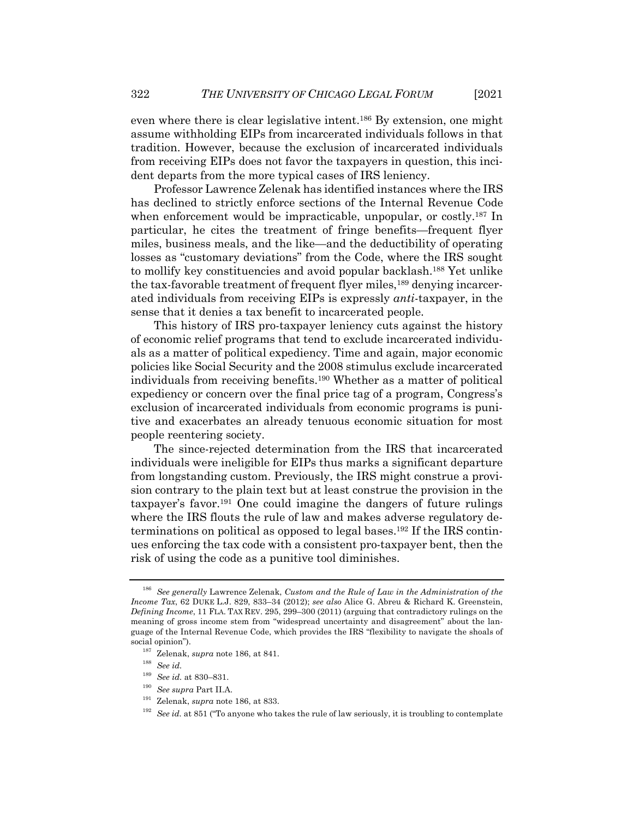even where there is clear legislative intent.186 By extension, one might assume withholding EIPs from incarcerated individuals follows in that tradition. However, because the exclusion of incarcerated individuals from receiving EIPs does not favor the taxpayers in question, this incident departs from the more typical cases of IRS leniency.

Professor Lawrence Zelenak has identified instances where the IRS has declined to strictly enforce sections of the Internal Revenue Code when enforcement would be impracticable, unpopular, or costly.<sup>187</sup> In particular, he cites the treatment of fringe benefits—frequent flyer miles, business meals, and the like—and the deductibility of operating losses as "customary deviations" from the Code, where the IRS sought to mollify key constituencies and avoid popular backlash.188 Yet unlike the tax-favorable treatment of frequent flyer miles,<sup>189</sup> denying incarcerated individuals from receiving EIPs is expressly *anti*-taxpayer, in the sense that it denies a tax benefit to incarcerated people.

This history of IRS pro-taxpayer leniency cuts against the history of economic relief programs that tend to exclude incarcerated individuals as a matter of political expediency. Time and again, major economic policies like Social Security and the 2008 stimulus exclude incarcerated individuals from receiving benefits.190 Whether as a matter of political expediency or concern over the final price tag of a program, Congress's exclusion of incarcerated individuals from economic programs is punitive and exacerbates an already tenuous economic situation for most people reentering society.

The since-rejected determination from the IRS that incarcerated individuals were ineligible for EIPs thus marks a significant departure from longstanding custom. Previously, the IRS might construe a provision contrary to the plain text but at least construe the provision in the taxpayer's favor.191 One could imagine the dangers of future rulings where the IRS flouts the rule of law and makes adverse regulatory determinations on political as opposed to legal bases.192 If the IRS continues enforcing the tax code with a consistent pro-taxpayer bent, then the risk of using the code as a punitive tool diminishes.

<sup>186</sup> *See generally* Lawrence Zelenak, *Custom and the Rule of Law in the Administration of the Income Tax*, 62 DUKE L.J. 829, 833–34 (2012); *see also* Alice G. Abreu & Richard K. Greenstein, *Defining Income*, 11 FLA. TAX REV. 295, 299–300 (2011) (arguing that contradictory rulings on the meaning of gross income stem from "widespread uncertainty and disagreement" about the language of the Internal Revenue Code, which provides the IRS "flexibility to navigate the shoals of social opinion").

<sup>187</sup> Zelenak, *supra* note 186, at 841.

<sup>188</sup> *See id.*

<sup>&</sup>lt;sup>189</sup> *See id.* at 830–831.

<sup>190</sup> *See supra* Part II.A.

<sup>191</sup> Zelenak, *supra* note 186, at 833.

<sup>192</sup> *See id.* at 851 ("To anyone who takes the rule of law seriously, it is troubling to contemplate